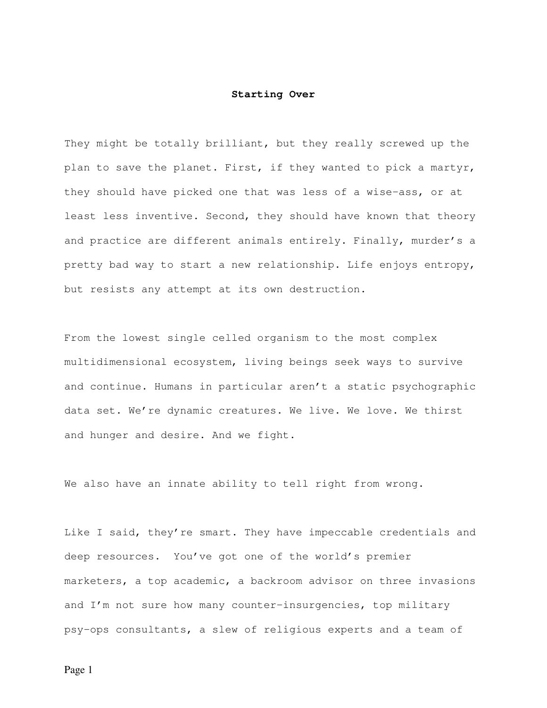## **Starting Over**

They might be totally brilliant, but they really screwed up the plan to save the planet. First, if they wanted to pick a martyr, they should have picked one that was less of a wise-ass, or at least less inventive. Second, they should have known that theory and practice are different animals entirely. Finally, murder's a pretty bad way to start a new relationship. Life enjoys entropy, but resists any attempt at its own destruction.

From the lowest single celled organism to the most complex multidimensional ecosystem, living beings seek ways to survive and continue. Humans in particular aren't a static psychographic data set. We're dynamic creatures. We live. We love. We thirst and hunger and desire. And we fight.

We also have an innate ability to tell right from wrong.

Like I said, they're smart. They have impeccable credentials and deep resources. You've got one of the world's premier marketers, a top academic, a backroom advisor on three invasions and I'm not sure how many counter-insurgencies, top military psy-ops consultants, a slew of religious experts and a team of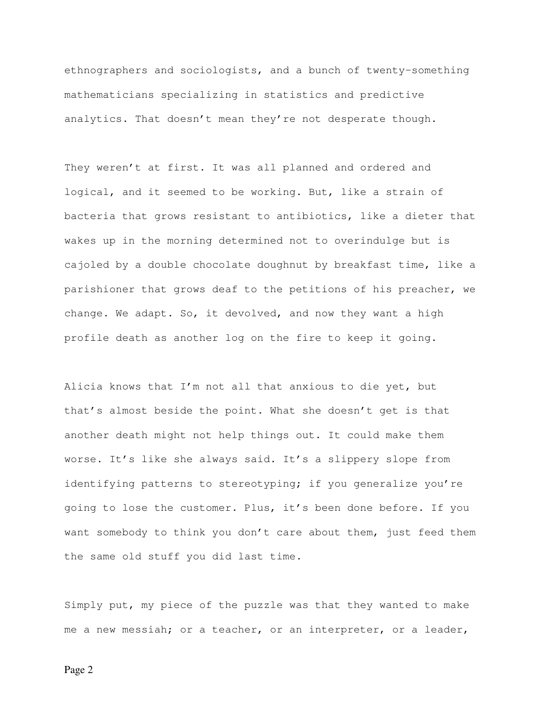ethnographers and sociologists, and a bunch of twenty-something mathematicians specializing in statistics and predictive analytics. That doesn't mean they're not desperate though.

They weren't at first. It was all planned and ordered and logical, and it seemed to be working. But, like a strain of bacteria that grows resistant to antibiotics, like a dieter that wakes up in the morning determined not to overindulge but is cajoled by a double chocolate doughnut by breakfast time, like a parishioner that grows deaf to the petitions of his preacher, we change. We adapt. So, it devolved, and now they want a high profile death as another log on the fire to keep it going.

Alicia knows that I'm not all that anxious to die yet, but that's almost beside the point. What she doesn't get is that another death might not help things out. It could make them worse. It's like she always said. It's a slippery slope from identifying patterns to stereotyping; if you generalize you're going to lose the customer. Plus, it's been done before. If you want somebody to think you don't care about them, just feed them the same old stuff you did last time.

Simply put, my piece of the puzzle was that they wanted to make me a new messiah; or a teacher, or an interpreter, or a leader,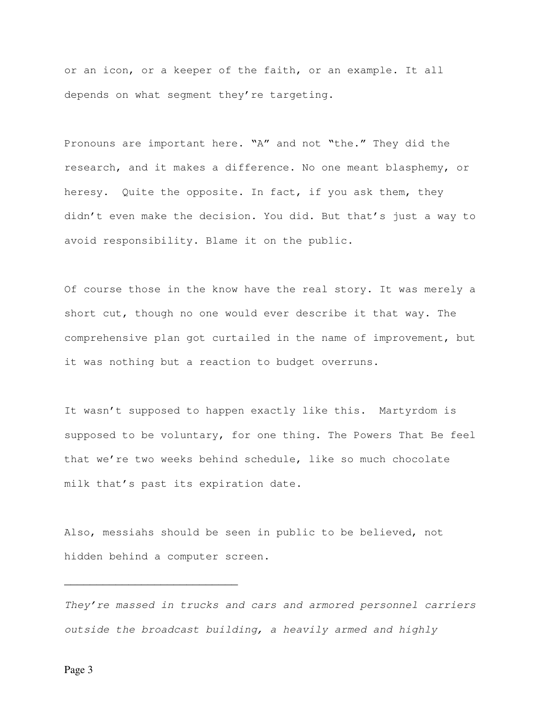or an icon, or a keeper of the faith, or an example. It all depends on what segment they're targeting.

Pronouns are important here. "A" and not "the." They did the research, and it makes a difference. No one meant blasphemy, or heresy. Quite the opposite. In fact, if you ask them, they didn't even make the decision. You did. But that's just a way to avoid responsibility. Blame it on the public.

Of course those in the know have the real story. It was merely a short cut, though no one would ever describe it that way. The comprehensive plan got curtailed in the name of improvement, but it was nothing but a reaction to budget overruns.

It wasn't supposed to happen exactly like this. Martyrdom is supposed to be voluntary, for one thing. The Powers That Be feel that we're two weeks behind schedule, like so much chocolate milk that's past its expiration date.

Also, messiahs should be seen in public to be believed, not hidden behind a computer screen.

They're massed in trucks and cars and armored personnel carriers outside the broadcast building, a heavily armed and highly

Page 3

\_\_\_\_\_\_\_\_\_\_\_\_\_\_\_\_\_\_\_\_\_\_\_\_\_\_\_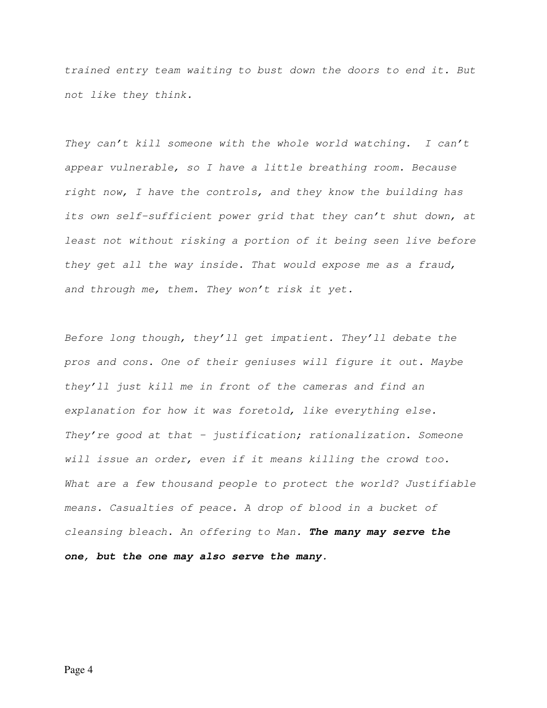trained entry team waiting to bust down the doors to end it. But not like they think.

They can't kill someone with the whole world watching. I can't appear vulnerable, so I have a little breathing room. Because right now, I have the controls, and they know the building has its own self-sufficient power grid that they can't shut down, at least not without risking a portion of it being seen live before they get all the way inside. That would expose me as a fraud, and through me, them. They won't risk it yet.

Before long though, they'll get impatient. They'll debate the pros and cons. One of their geniuses will figure it out. Maybe they'll just kill me in front of the cameras and find an explanation for how it was foretold, like everything else. They're good at that - justification; rationalization. Someone will issue an order, even if it means killing the crowd too. What are a few thousand people to protect the world? Justifiable means. Casualties of peace. A drop of blood in a bucket of cleansing bleach. An offering to Man. **The many may serve the one, but the one may also serve the many.**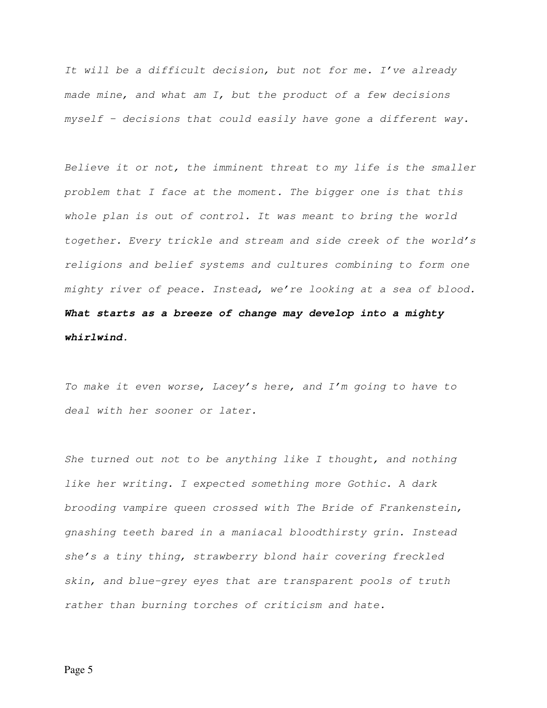It will be a difficult decision, but not for me. I've already made mine, and what am I, but the product of a few decisions myself – decisions that could easily have gone a different way.

Believe it or not, the imminent threat to my life is the smaller problem that I face at the moment. The bigger one is that this whole plan is out of control. It was meant to bring the world together. Every trickle and stream and side creek of the world's religions and belief systems and cultures combining to form one mighty river of peace. Instead, we're looking at a sea of blood. **What starts as a breeze of change may develop into a mighty whirlwind.**

To make it even worse, Lacey's here, and  $I'm$  going to have to deal with her sooner or later.

She turned out not to be anything like I thought, and nothing like her writing. I expected something more Gothic. A dark brooding vampire queen crossed with The Bride of Frankenstein, gnashing teeth bared in a maniacal bloodthirsty grin. Instead she's a tiny thing, strawberry blond hair covering freckled skin, and blue-grey eyes that are transparent pools of truth rather than burning torches of criticism and hate.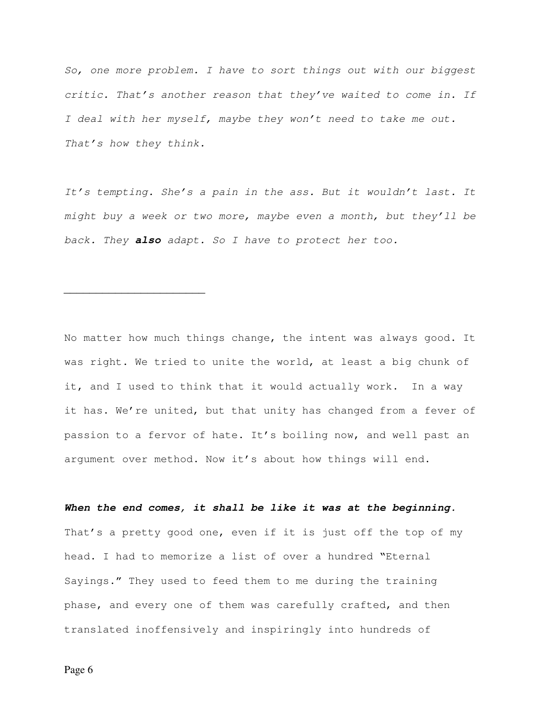So, one more problem. I have to sort things out with our biggest critic. That's another reason that they've waited to come in. If I deal with her myself, maybe they won't need to take me out. That's how they think.

It's tempting. She's a pain in the ass. But it wouldn't last. It might buy a week or two more, maybe even a month, but they'll be back. They **also** adapt. So I have to protect her too.

No matter how much things change, the intent was always good. It was right. We tried to unite the world, at least a big chunk of it, and I used to think that it would actually work. In a way it has. We're united, but that unity has changed from a fever of passion to a fervor of hate. It's boiling now, and well past an argument over method. Now it's about how things will end.

**When the end comes, it shall be like it was at the beginning.** That's a pretty good one, even if it is just off the top of my head. I had to memorize a list of over a hundred "Eternal Sayings." They used to feed them to me during the training phase, and every one of them was carefully crafted, and then translated inoffensively and inspiringly into hundreds of

 $\overline{\phantom{a}}$  , where  $\overline{\phantom{a}}$  , where  $\overline{\phantom{a}}$  , where  $\overline{\phantom{a}}$  , where  $\overline{\phantom{a}}$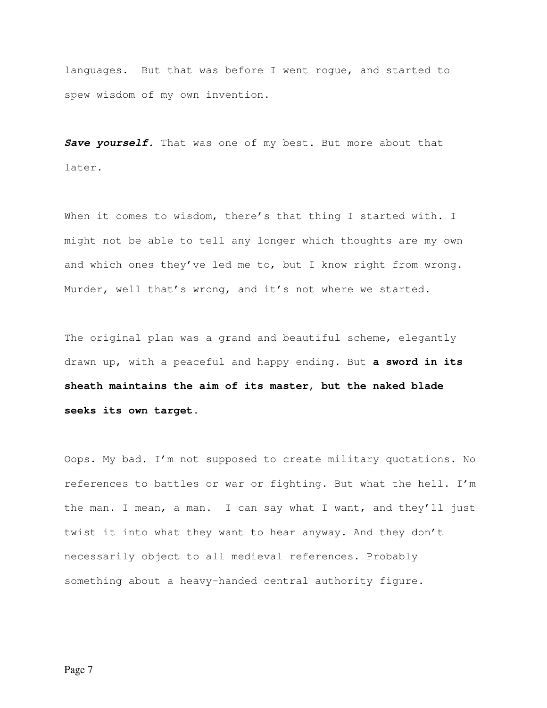languages. But that was before I went rogue, and started to spew wisdom of my own invention.

Save yourself. That was one of my best. But more about that later.

When it comes to wisdom, there's that thing I started with. I might not be able to tell any longer which thoughts are my own and which ones they've led me to, but I know right from wrong. Murder, well that's wrong, and it's not where we started.

The original plan was a grand and beautiful scheme, elegantly drawn up, with a peaceful and happy ending. But **a sword in its sheath maintains the aim of its master, but the naked blade seeks its own target.** 

Oops. My bad. I'm not supposed to create military quotations. No references to battles or war or fighting. But what the hell. I'm the man. I mean, a man. I can say what I want, and they'll just twist it into what they want to hear anyway. And they don't necessarily object to all medieval references. Probably something about a heavy-handed central authority figure.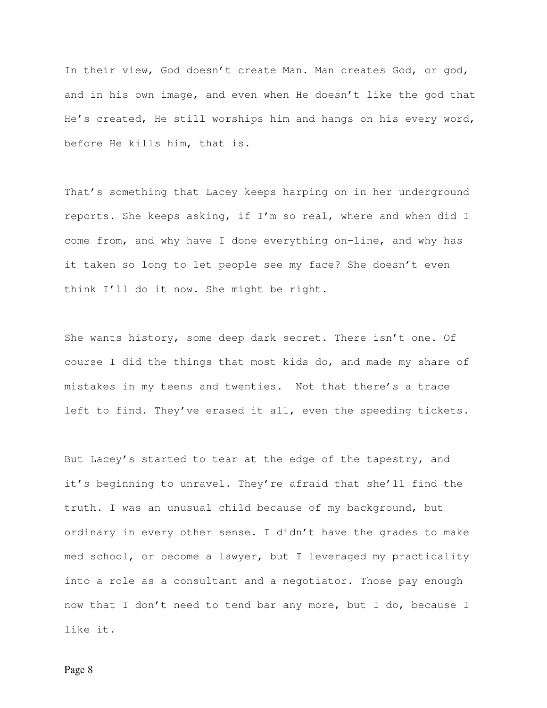In their view, God doesn't create Man. Man creates God, or god, and in his own image, and even when He doesn't like the god that He's created, He still worships him and hangs on his every word, before He kills him, that is.

That's something that Lacey keeps harping on in her underground reports. She keeps asking, if I'm so real, where and when did I come from, and why have I done everything on-line, and why has it taken so long to let people see my face? She doesn't even think I'll do it now. She might be right.

She wants history, some deep dark secret. There isn't one. Of course I did the things that most kids do, and made my share of mistakes in my teens and twenties. Not that there's a trace left to find. They've erased it all, even the speeding tickets.

But Lacey's started to tear at the edge of the tapestry, and it's beginning to unravel. They're afraid that she'll find the truth. I was an unusual child because of my background, but ordinary in every other sense. I didn't have the grades to make med school, or become a lawyer, but I leveraged my practicality into a role as a consultant and a negotiator. Those pay enough now that I don't need to tend bar any more, but I do, because I like it.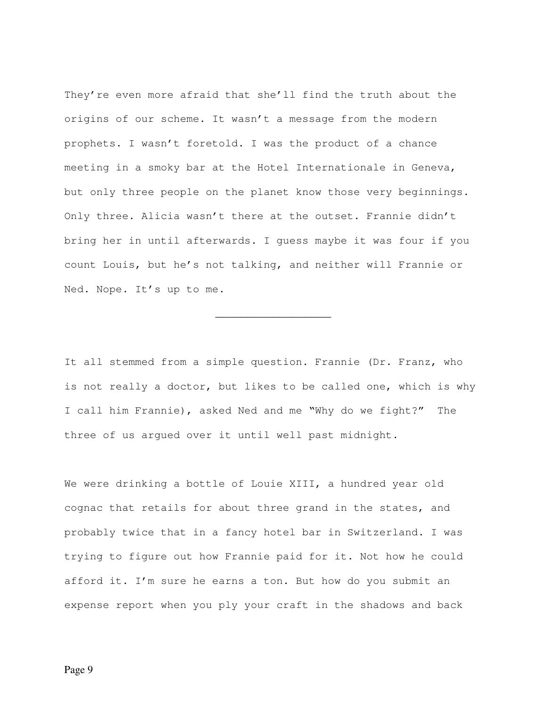They're even more afraid that she'll find the truth about the origins of our scheme. It wasn't a message from the modern prophets. I wasn't foretold. I was the product of a chance meeting in a smoky bar at the Hotel Internationale in Geneva, but only three people on the planet know those very beginnings. Only three. Alicia wasn't there at the outset. Frannie didn't bring her in until afterwards. I guess maybe it was four if you count Louis, but he's not talking, and neither will Frannie or Ned. Nope. It's up to me.

It all stemmed from a simple question. Frannie (Dr. Franz, who is not really a doctor, but likes to be called one, which is why I call him Frannie), asked Ned and me "Why do we fight?" The three of us argued over it until well past midnight.

\_\_\_\_\_\_\_\_\_\_\_\_\_\_\_\_\_\_

We were drinking a bottle of Louie XIII, a hundred year old cognac that retails for about three grand in the states, and probably twice that in a fancy hotel bar in Switzerland. I was trying to figure out how Frannie paid for it. Not how he could afford it. I'm sure he earns a ton. But how do you submit an expense report when you ply your craft in the shadows and back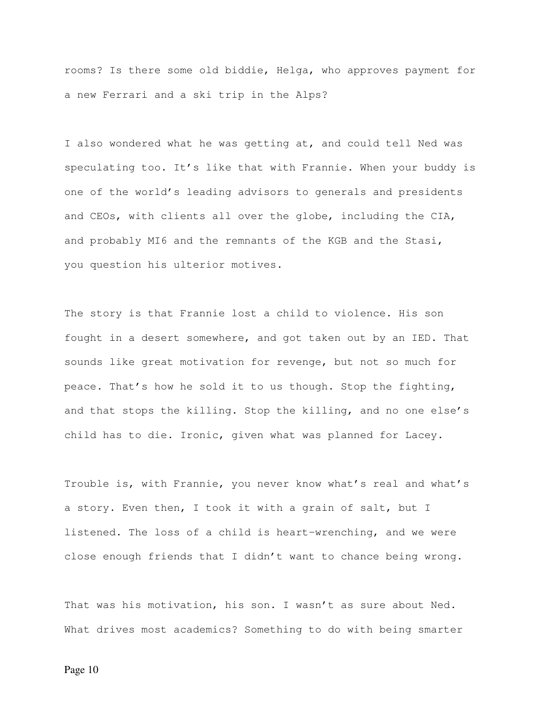rooms? Is there some old biddie, Helga, who approves payment for a new Ferrari and a ski trip in the Alps?

I also wondered what he was getting at, and could tell Ned was speculating too. It's like that with Frannie. When your buddy is one of the world's leading advisors to generals and presidents and CEOs, with clients all over the globe, including the CIA, and probably MI6 and the remnants of the KGB and the Stasi, you question his ulterior motives.

The story is that Frannie lost a child to violence. His son fought in a desert somewhere, and got taken out by an IED. That sounds like great motivation for revenge, but not so much for peace. That's how he sold it to us though. Stop the fighting, and that stops the killing. Stop the killing, and no one else's child has to die. Ironic, given what was planned for Lacey.

Trouble is, with Frannie, you never know what's real and what's a story. Even then, I took it with a grain of salt, but I listened. The loss of a child is heart-wrenching, and we were close enough friends that I didn't want to chance being wrong.

That was his motivation, his son. I wasn't as sure about Ned. What drives most academics? Something to do with being smarter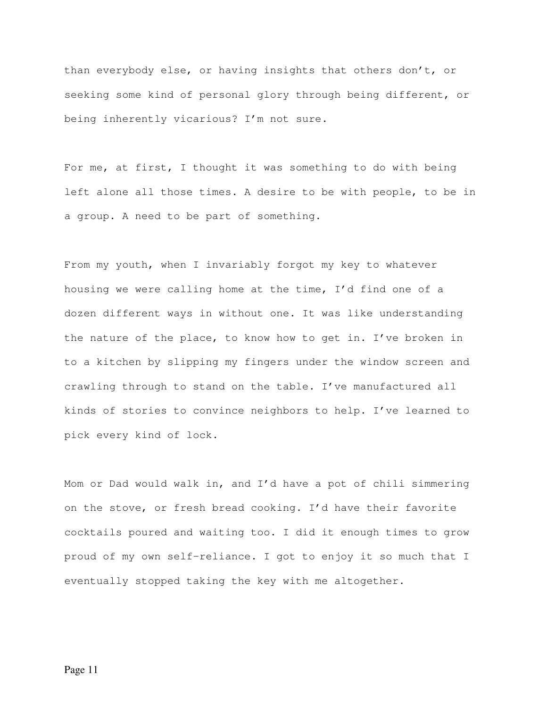than everybody else, or having insights that others don't, or seeking some kind of personal glory through being different, or being inherently vicarious? I'm not sure.

For me, at first, I thought it was something to do with being left alone all those times. A desire to be with people, to be in a group. A need to be part of something.

From my youth, when I invariably forgot my key to whatever housing we were calling home at the time, I'd find one of a dozen different ways in without one. It was like understanding the nature of the place, to know how to get in. I've broken in to a kitchen by slipping my fingers under the window screen and crawling through to stand on the table. I've manufactured all kinds of stories to convince neighbors to help. I've learned to pick every kind of lock.

Mom or Dad would walk in, and I'd have a pot of chili simmering on the stove, or fresh bread cooking. I'd have their favorite cocktails poured and waiting too. I did it enough times to grow proud of my own self-reliance. I got to enjoy it so much that I eventually stopped taking the key with me altogether.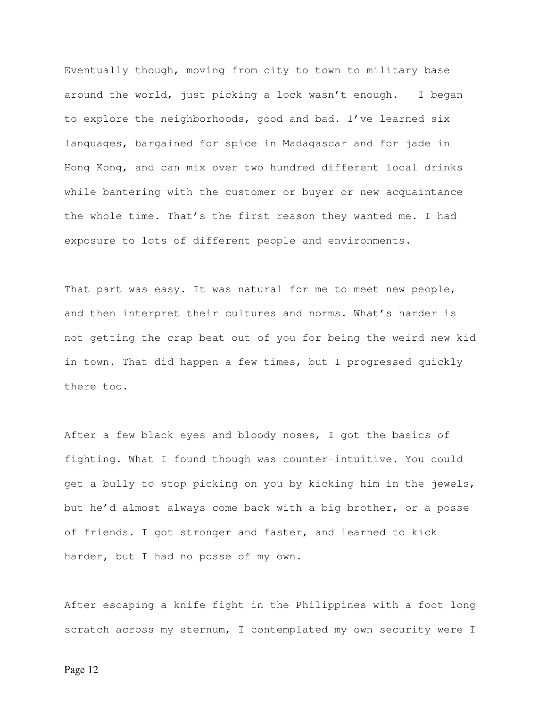Eventually though, moving from city to town to military base around the world, just picking a lock wasn't enough. I began to explore the neighborhoods, good and bad. I've learned six languages, bargained for spice in Madagascar and for jade in Hong Kong, and can mix over two hundred different local drinks while bantering with the customer or buyer or new acquaintance the whole time. That's the first reason they wanted me. I had exposure to lots of different people and environments.

That part was easy. It was natural for me to meet new people, and then interpret their cultures and norms. What's harder is not getting the crap beat out of you for being the weird new kid in town. That did happen a few times, but I progressed quickly there too.

After a few black eyes and bloody noses, I got the basics of fighting. What I found though was counter-intuitive. You could get a bully to stop picking on you by kicking him in the jewels, but he'd almost always come back with a big brother, or a posse of friends. I got stronger and faster, and learned to kick harder, but I had no posse of my own.

After escaping a knife fight in the Philippines with a foot long scratch across my sternum, I contemplated my own security were I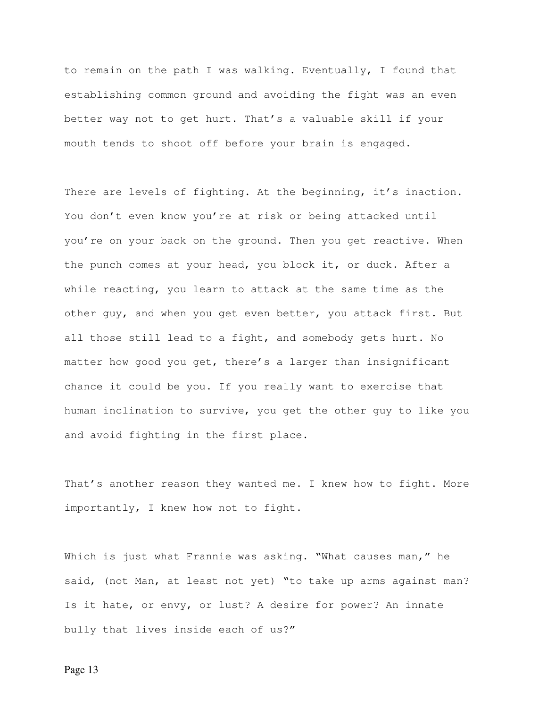to remain on the path I was walking. Eventually, I found that establishing common ground and avoiding the fight was an even better way not to get hurt. That's a valuable skill if your mouth tends to shoot off before your brain is engaged.

There are levels of fighting. At the beginning, it's inaction. You don't even know you're at risk or being attacked until you're on your back on the ground. Then you get reactive. When the punch comes at your head, you block it, or duck. After a while reacting, you learn to attack at the same time as the other guy, and when you get even better, you attack first. But all those still lead to a fight, and somebody gets hurt. No matter how good you get, there's a larger than insignificant chance it could be you. If you really want to exercise that human inclination to survive, you get the other guy to like you and avoid fighting in the first place.

That's another reason they wanted me. I knew how to fight. More importantly, I knew how not to fight.

Which is just what Frannie was asking. "What causes man," he said, (not Man, at least not yet) "to take up arms against man? Is it hate, or envy, or lust? A desire for power? An innate bully that lives inside each of us?"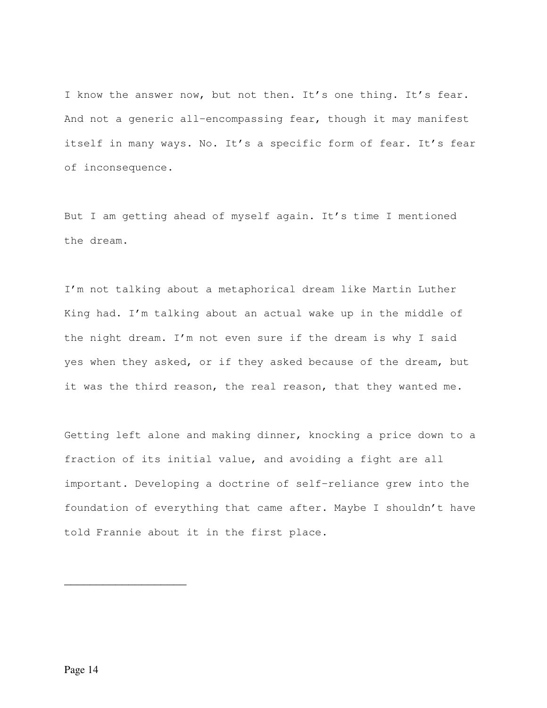I know the answer now, but not then. It's one thing. It's fear. And not a generic all-encompassing fear, though it may manifest itself in many ways. No. It's a specific form of fear. It's fear of inconsequence.

But I am getting ahead of myself again. It's time I mentioned the dream.

I'm not talking about a metaphorical dream like Martin Luther King had. I'm talking about an actual wake up in the middle of the night dream. I'm not even sure if the dream is why I said yes when they asked, or if they asked because of the dream, but it was the third reason, the real reason, that they wanted me.

Getting left alone and making dinner, knocking a price down to a fraction of its initial value, and avoiding a fight are all important. Developing a doctrine of self-reliance grew into the foundation of everything that came after. Maybe I shouldn't have told Frannie about it in the first place.

\_\_\_\_\_\_\_\_\_\_\_\_\_\_\_\_\_\_\_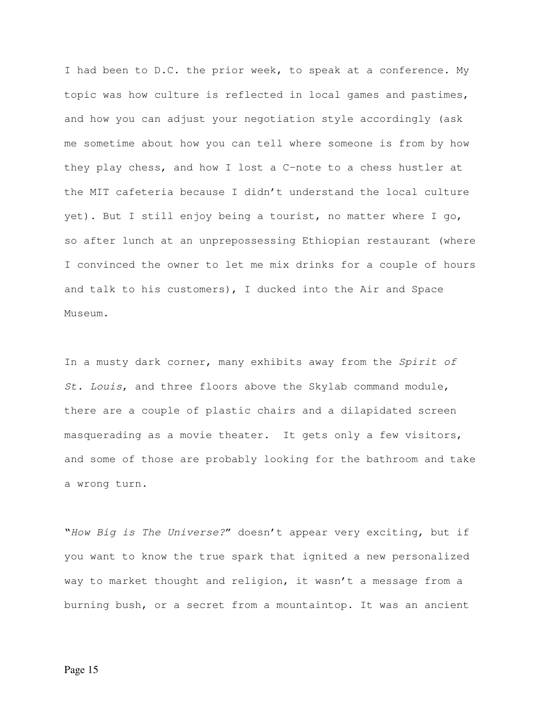I had been to D.C. the prior week, to speak at a conference. My topic was how culture is reflected in local games and pastimes, and how you can adjust your negotiation style accordingly (ask me sometime about how you can tell where someone is from by how they play chess, and how I lost a C-note to a chess hustler at the MIT cafeteria because I didn't understand the local culture yet). But I still enjoy being a tourist, no matter where I go, so after lunch at an unprepossessing Ethiopian restaurant (where I convinced the owner to let me mix drinks for a couple of hours and talk to his customers), I ducked into the Air and Space Museum.

In a musty dark corner, many exhibits away from the Spirit of St. Louis, and three floors above the Skylab command module, there are a couple of plastic chairs and a dilapidated screen masquerading as a movie theater. It gets only a few visitors, and some of those are probably looking for the bathroom and take a wrong turn.

"How Big is The Universe?" doesn't appear very exciting, but if you want to know the true spark that ignited a new personalized way to market thought and religion, it wasn't a message from a burning bush, or a secret from a mountaintop. It was an ancient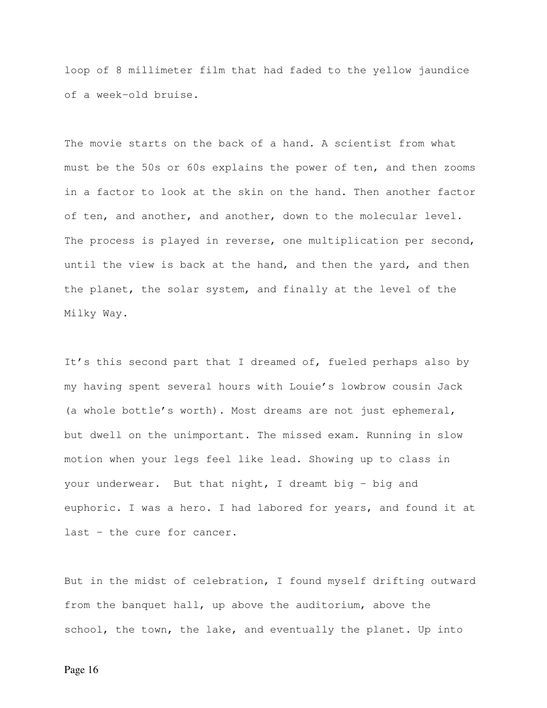loop of 8 millimeter film that had faded to the yellow jaundice of a week-old bruise.

The movie starts on the back of a hand. A scientist from what must be the 50s or 60s explains the power of ten, and then zooms in a factor to look at the skin on the hand. Then another factor of ten, and another, and another, down to the molecular level. The process is played in reverse, one multiplication per second, until the view is back at the hand, and then the yard, and then the planet, the solar system, and finally at the level of the Milky Way.

It's this second part that I dreamed of, fueled perhaps also by my having spent several hours with Louie's lowbrow cousin Jack (a whole bottle's worth). Most dreams are not just ephemeral, but dwell on the unimportant. The missed exam. Running in slow motion when your legs feel like lead. Showing up to class in your underwear. But that night, I dreamt big - big and euphoric. I was a hero. I had labored for years, and found it at last – the cure for cancer.

But in the midst of celebration, I found myself drifting outward from the banquet hall, up above the auditorium, above the school, the town, the lake, and eventually the planet. Up into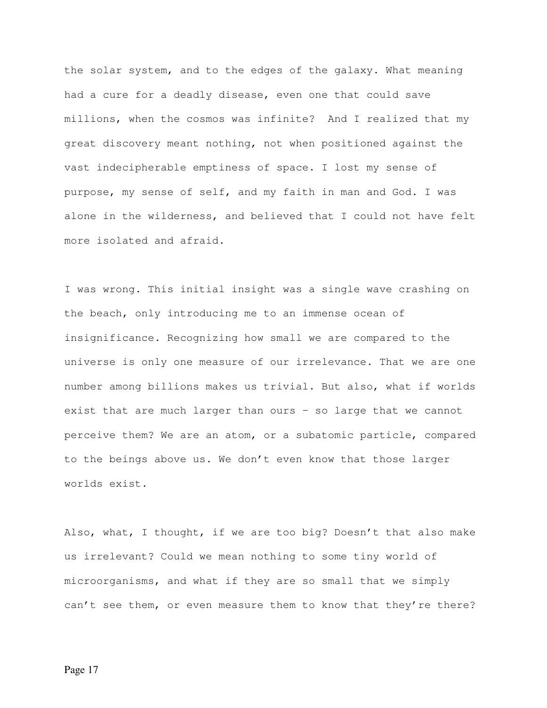the solar system, and to the edges of the galaxy. What meaning had a cure for a deadly disease, even one that could save millions, when the cosmos was infinite? And I realized that my great discovery meant nothing, not when positioned against the vast indecipherable emptiness of space. I lost my sense of purpose, my sense of self, and my faith in man and God. I was alone in the wilderness, and believed that I could not have felt more isolated and afraid.

I was wrong. This initial insight was a single wave crashing on the beach, only introducing me to an immense ocean of insignificance. Recognizing how small we are compared to the universe is only one measure of our irrelevance. That we are one number among billions makes us trivial. But also, what if worlds exist that are much larger than ours – so large that we cannot perceive them? We are an atom, or a subatomic particle, compared to the beings above us. We don't even know that those larger worlds exist.

Also, what, I thought, if we are too big? Doesn't that also make us irrelevant? Could we mean nothing to some tiny world of microorganisms, and what if they are so small that we simply can't see them, or even measure them to know that they're there?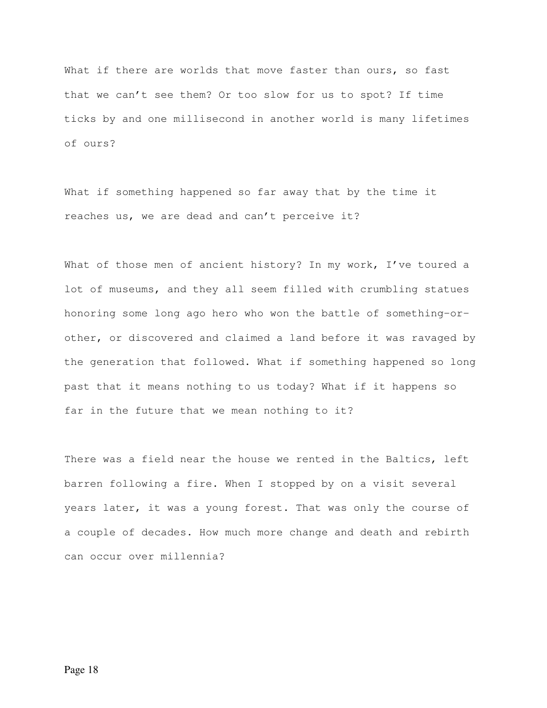What if there are worlds that move faster than ours, so fast that we can't see them? Or too slow for us to spot? If time ticks by and one millisecond in another world is many lifetimes of ours?

What if something happened so far away that by the time it reaches us, we are dead and can't perceive it?

What of those men of ancient history? In my work, I've toured a lot of museums, and they all seem filled with crumbling statues honoring some long ago hero who won the battle of something-orother, or discovered and claimed a land before it was ravaged by the generation that followed. What if something happened so long past that it means nothing to us today? What if it happens so far in the future that we mean nothing to it?

There was a field near the house we rented in the Baltics, left barren following a fire. When I stopped by on a visit several years later, it was a young forest. That was only the course of a couple of decades. How much more change and death and rebirth can occur over millennia?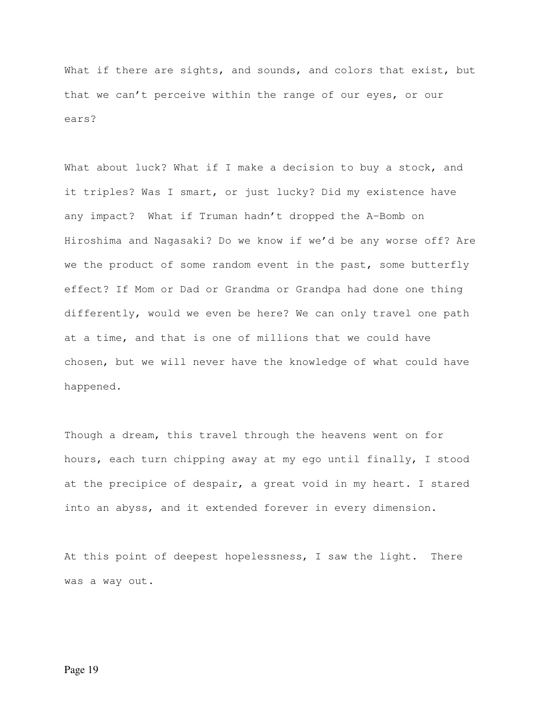What if there are sights, and sounds, and colors that exist, but that we can't perceive within the range of our eyes, or our ears?

What about luck? What if I make a decision to buy a stock, and it triples? Was I smart, or just lucky? Did my existence have any impact? What if Truman hadn't dropped the A-Bomb on Hiroshima and Nagasaki? Do we know if we'd be any worse off? Are we the product of some random event in the past, some butterfly effect? If Mom or Dad or Grandma or Grandpa had done one thing differently, would we even be here? We can only travel one path at a time, and that is one of millions that we could have chosen, but we will never have the knowledge of what could have happened.

Though a dream, this travel through the heavens went on for hours, each turn chipping away at my ego until finally, I stood at the precipice of despair, a great void in my heart. I stared into an abyss, and it extended forever in every dimension.

At this point of deepest hopelessness, I saw the light. There was a way out.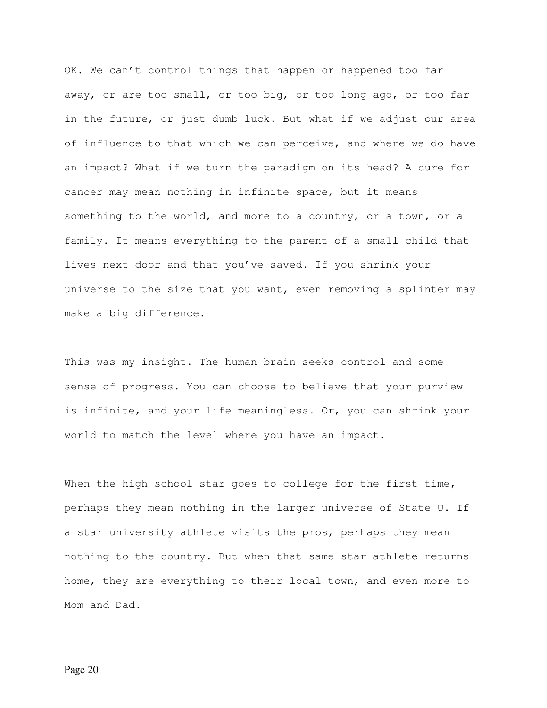OK. We can't control things that happen or happened too far away, or are too small, or too big, or too long ago, or too far in the future, or just dumb luck. But what if we adjust our area of influence to that which we can perceive, and where we do have an impact? What if we turn the paradigm on its head? A cure for cancer may mean nothing in infinite space, but it means something to the world, and more to a country, or a town, or a family. It means everything to the parent of a small child that lives next door and that you've saved. If you shrink your universe to the size that you want, even removing a splinter may make a big difference.

This was my insight. The human brain seeks control and some sense of progress. You can choose to believe that your purview is infinite, and your life meaningless. Or, you can shrink your world to match the level where you have an impact.

When the high school star goes to college for the first time, perhaps they mean nothing in the larger universe of State U. If a star university athlete visits the pros, perhaps they mean nothing to the country. But when that same star athlete returns home, they are everything to their local town, and even more to Mom and Dad.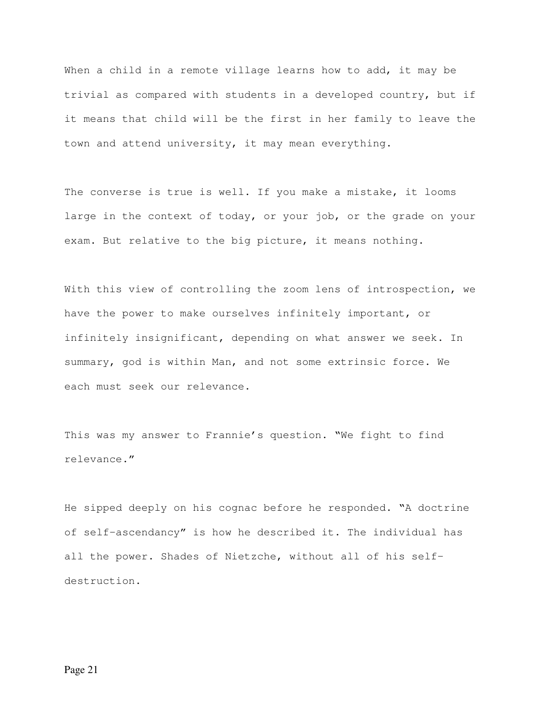When a child in a remote village learns how to add, it may be trivial as compared with students in a developed country, but if it means that child will be the first in her family to leave the town and attend university, it may mean everything.

The converse is true is well. If you make a mistake, it looms large in the context of today, or your job, or the grade on your exam. But relative to the big picture, it means nothing.

With this view of controlling the zoom lens of introspection, we have the power to make ourselves infinitely important, or infinitely insignificant, depending on what answer we seek. In summary, god is within Man, and not some extrinsic force. We each must seek our relevance.

This was my answer to Frannie's question. "We fight to find relevance."

He sipped deeply on his cognac before he responded. "A doctrine of self-ascendancy" is how he described it. The individual has all the power. Shades of Nietzche, without all of his selfdestruction.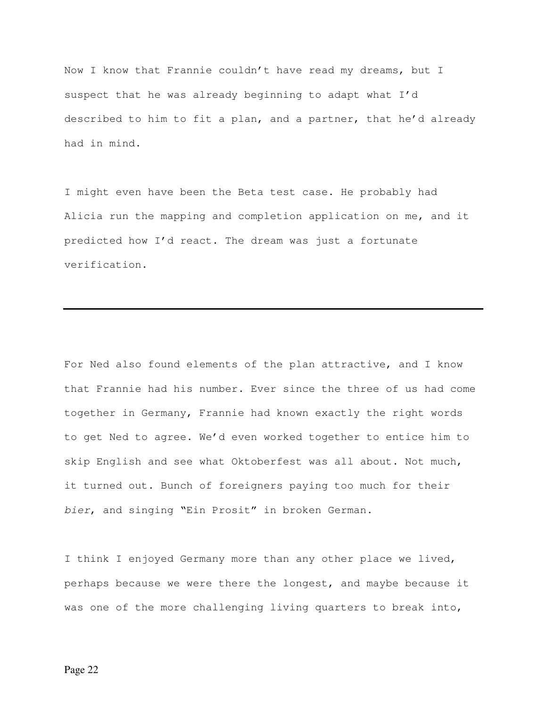Now I know that Frannie couldn't have read my dreams, but I suspect that he was already beginning to adapt what I'd described to him to fit a plan, and a partner, that he'd already had in mind.

I might even have been the Beta test case. He probably had Alicia run the mapping and completion application on me, and it predicted how I'd react. The dream was just a fortunate verification.

For Ned also found elements of the plan attractive, and I know that Frannie had his number. Ever since the three of us had come together in Germany, Frannie had known exactly the right words to get Ned to agree. We'd even worked together to entice him to skip English and see what Oktoberfest was all about. Not much, it turned out. Bunch of foreigners paying too much for their bier, and singing "Ein Prosit" in broken German.

I think I enjoyed Germany more than any other place we lived, perhaps because we were there the longest, and maybe because it was one of the more challenging living quarters to break into,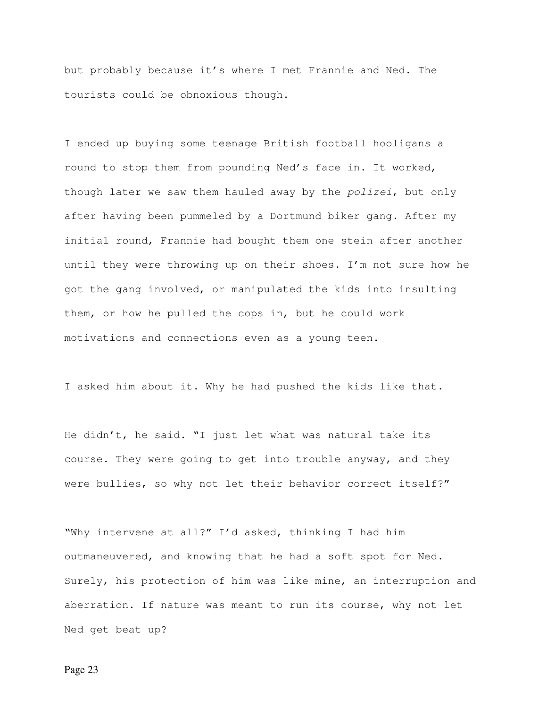but probably because it's where I met Frannie and Ned. The tourists could be obnoxious though.

I ended up buying some teenage British football hooligans a round to stop them from pounding Ned's face in. It worked, though later we saw them hauled away by the polizei, but only after having been pummeled by a Dortmund biker gang. After my initial round, Frannie had bought them one stein after another until they were throwing up on their shoes. I'm not sure how he got the gang involved, or manipulated the kids into insulting them, or how he pulled the cops in, but he could work motivations and connections even as a young teen.

I asked him about it. Why he had pushed the kids like that.

He didn't, he said. "I just let what was natural take its course. They were going to get into trouble anyway, and they were bullies, so why not let their behavior correct itself?"

"Why intervene at all?" I'd asked, thinking I had him outmaneuvered, and knowing that he had a soft spot for Ned. Surely, his protection of him was like mine, an interruption and aberration. If nature was meant to run its course, why not let Ned get beat up?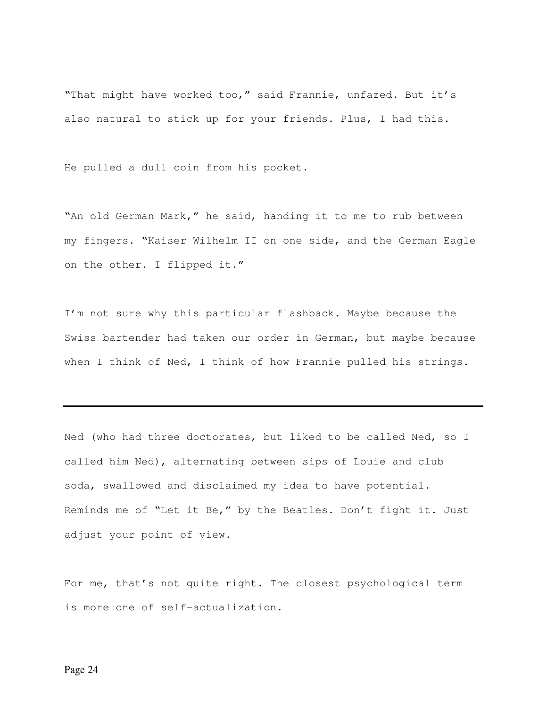"That might have worked too," said Frannie, unfazed. But it's also natural to stick up for your friends. Plus, I had this.

He pulled a dull coin from his pocket.

"An old German Mark," he said, handing it to me to rub between my fingers. "Kaiser Wilhelm II on one side, and the German Eagle on the other. I flipped it."

I'm not sure why this particular flashback. Maybe because the Swiss bartender had taken our order in German, but maybe because when I think of Ned, I think of how Frannie pulled his strings.

Ned (who had three doctorates, but liked to be called Ned, so I called him Ned), alternating between sips of Louie and club soda, swallowed and disclaimed my idea to have potential. Reminds me of "Let it Be," by the Beatles. Don't fight it. Just adjust your point of view.

For me, that's not quite right. The closest psychological term is more one of self-actualization.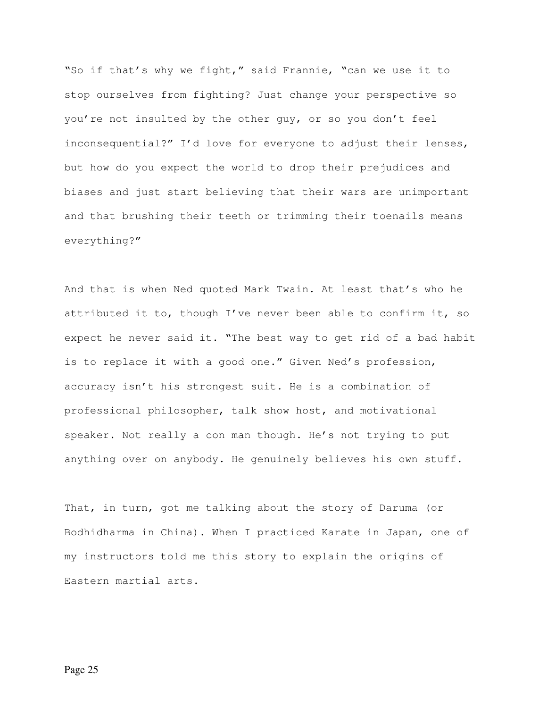"So if that's why we fight," said Frannie, "can we use it to stop ourselves from fighting? Just change your perspective so you're not insulted by the other guy, or so you don't feel inconsequential?" I'd love for everyone to adjust their lenses, but how do you expect the world to drop their prejudices and biases and just start believing that their wars are unimportant and that brushing their teeth or trimming their toenails means everything?"

And that is when Ned quoted Mark Twain. At least that's who he attributed it to, though I've never been able to confirm it, so expect he never said it. "The best way to get rid of a bad habit is to replace it with a good one." Given Ned's profession, accuracy isn't his strongest suit. He is a combination of professional philosopher, talk show host, and motivational speaker. Not really a con man though. He's not trying to put anything over on anybody. He genuinely believes his own stuff.

That, in turn, got me talking about the story of Daruma (or Bodhidharma in China). When I practiced Karate in Japan, one of my instructors told me this story to explain the origins of Eastern martial arts.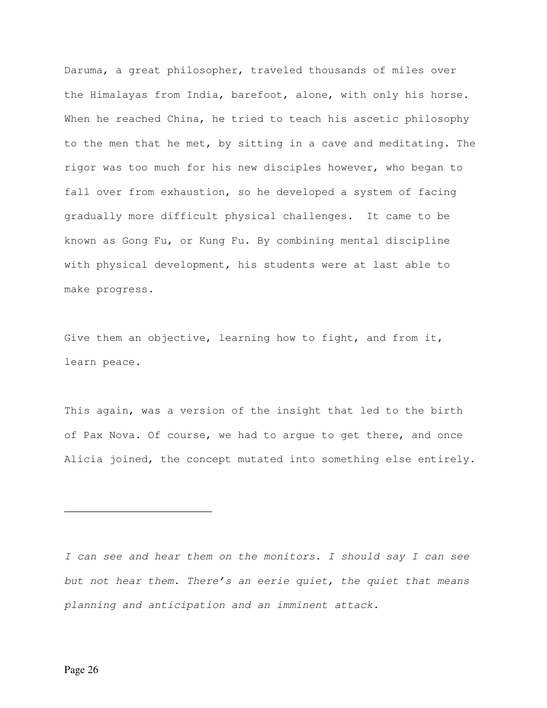Daruma, a great philosopher, traveled thousands of miles over the Himalayas from India, barefoot, alone, with only his horse. When he reached China, he tried to teach his ascetic philosophy to the men that he met, by sitting in a cave and meditating. The rigor was too much for his new disciples however, who began to fall over from exhaustion, so he developed a system of facing gradually more difficult physical challenges. It came to be known as Gong Fu, or Kung Fu. By combining mental discipline with physical development, his students were at last able to make progress.

Give them an objective, learning how to fight, and from it, learn peace.

This again, was a version of the insight that led to the birth of Pax Nova. Of course, we had to argue to get there, and once Alicia joined, the concept mutated into something else entirely.

\_\_\_\_\_\_\_\_\_\_\_\_\_\_\_\_\_\_\_\_\_\_\_

I can see and hear them on the monitors. I should say I can see but not hear them. There's an eerie quiet, the quiet that means planning and anticipation and an imminent attack.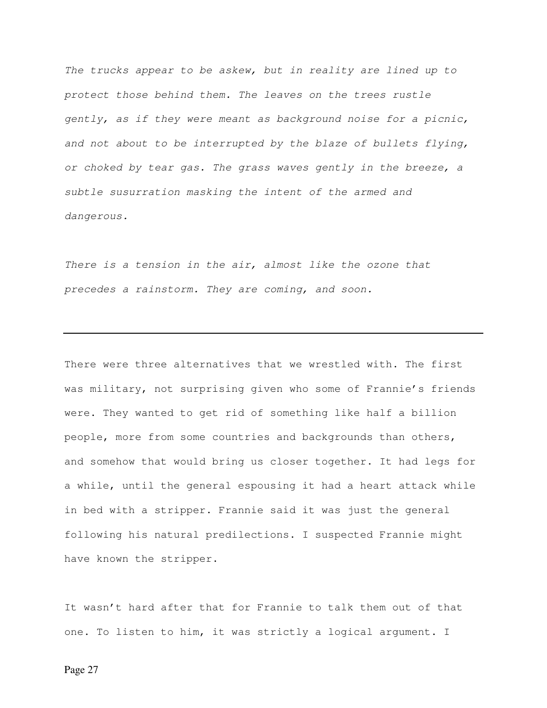The trucks appear to be askew, but in reality are lined up to protect those behind them. The leaves on the trees rustle gently, as if they were meant as background noise for a picnic, and not about to be interrupted by the blaze of bullets flying, or choked by tear gas. The grass waves gently in the breeze, a subtle susurration masking the intent of the armed and dangerous.

There is a tension in the air, almost like the ozone that precedes a rainstorm. They are coming, and soon.

There were three alternatives that we wrestled with. The first was military, not surprising given who some of Frannie's friends were. They wanted to get rid of something like half a billion people, more from some countries and backgrounds than others, and somehow that would bring us closer together. It had legs for a while, until the general espousing it had a heart attack while in bed with a stripper. Frannie said it was just the general following his natural predilections. I suspected Frannie might have known the stripper.

It wasn't hard after that for Frannie to talk them out of that one. To listen to him, it was strictly a logical argument. I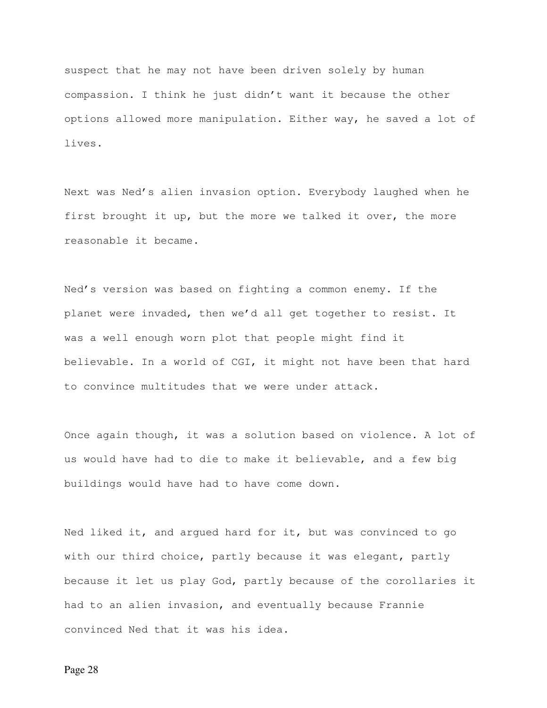suspect that he may not have been driven solely by human compassion. I think he just didn't want it because the other options allowed more manipulation. Either way, he saved a lot of lives.

Next was Ned's alien invasion option. Everybody laughed when he first brought it up, but the more we talked it over, the more reasonable it became.

Ned's version was based on fighting a common enemy. If the planet were invaded, then we'd all get together to resist. It was a well enough worn plot that people might find it believable. In a world of CGI, it might not have been that hard to convince multitudes that we were under attack.

Once again though, it was a solution based on violence. A lot of us would have had to die to make it believable, and a few big buildings would have had to have come down.

Ned liked it, and argued hard for it, but was convinced to go with our third choice, partly because it was elegant, partly because it let us play God, partly because of the corollaries it had to an alien invasion, and eventually because Frannie convinced Ned that it was his idea.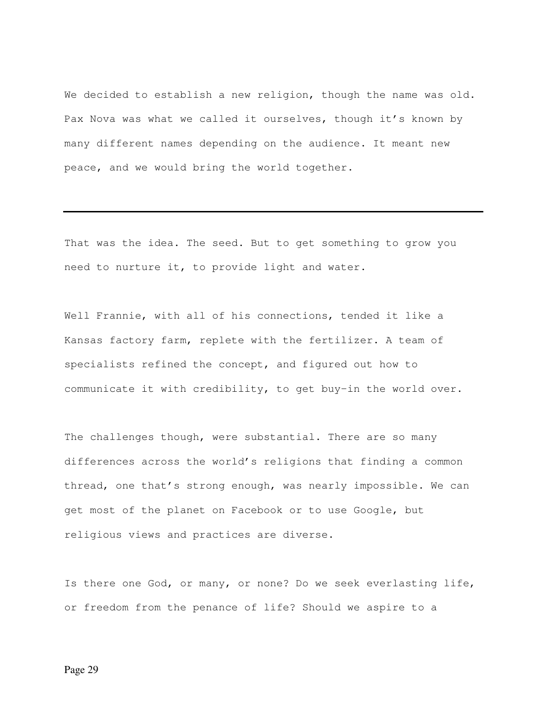We decided to establish a new religion, though the name was old. Pax Nova was what we called it ourselves, though it's known by many different names depending on the audience. It meant new peace, and we would bring the world together.

That was the idea. The seed. But to get something to grow you need to nurture it, to provide light and water.

Well Frannie, with all of his connections, tended it like a Kansas factory farm, replete with the fertilizer. A team of specialists refined the concept, and figured out how to communicate it with credibility, to get buy-in the world over.

The challenges though, were substantial. There are so many differences across the world's religions that finding a common thread, one that's strong enough, was nearly impossible. We can get most of the planet on Facebook or to use Google, but religious views and practices are diverse.

Is there one God, or many, or none? Do we seek everlasting life, or freedom from the penance of life? Should we aspire to a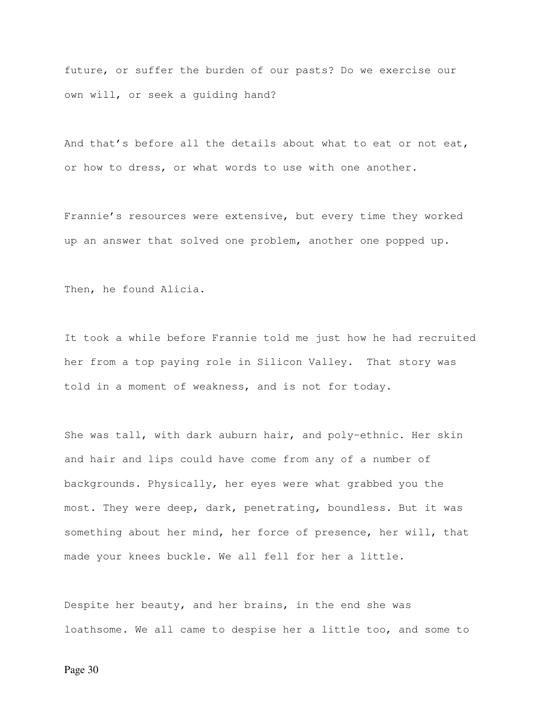future, or suffer the burden of our pasts? Do we exercise our own will, or seek a guiding hand?

And that's before all the details about what to eat or not eat, or how to dress, or what words to use with one another.

Frannie's resources were extensive, but every time they worked up an answer that solved one problem, another one popped up.

Then, he found Alicia.

It took a while before Frannie told me just how he had recruited her from a top paying role in Silicon Valley. That story was told in a moment of weakness, and is not for today.

She was tall, with dark auburn hair, and poly-ethnic. Her skin and hair and lips could have come from any of a number of backgrounds. Physically, her eyes were what grabbed you the most. They were deep, dark, penetrating, boundless. But it was something about her mind, her force of presence, her will, that made your knees buckle. We all fell for her a little.

Despite her beauty, and her brains, in the end she was loathsome. We all came to despise her a little too, and some to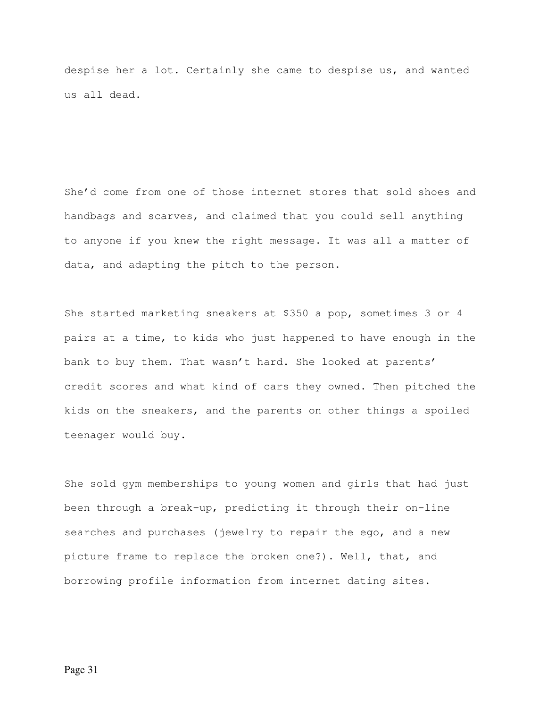despise her a lot. Certainly she came to despise us, and wanted us all dead.

She'd come from one of those internet stores that sold shoes and handbags and scarves, and claimed that you could sell anything to anyone if you knew the right message. It was all a matter of data, and adapting the pitch to the person.

She started marketing sneakers at \$350 a pop, sometimes 3 or 4 pairs at a time, to kids who just happened to have enough in the bank to buy them. That wasn't hard. She looked at parents' credit scores and what kind of cars they owned. Then pitched the kids on the sneakers, and the parents on other things a spoiled teenager would buy.

She sold gym memberships to young women and girls that had just been through a break-up, predicting it through their on-line searches and purchases (jewelry to repair the ego, and a new picture frame to replace the broken one?). Well, that, and borrowing profile information from internet dating sites.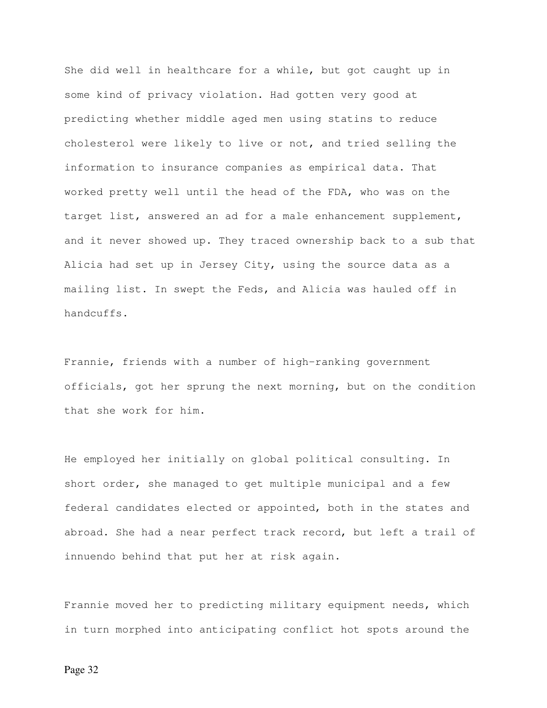She did well in healthcare for a while, but got caught up in some kind of privacy violation. Had gotten very good at predicting whether middle aged men using statins to reduce cholesterol were likely to live or not, and tried selling the information to insurance companies as empirical data. That worked pretty well until the head of the FDA, who was on the target list, answered an ad for a male enhancement supplement, and it never showed up. They traced ownership back to a sub that Alicia had set up in Jersey City, using the source data as a mailing list. In swept the Feds, and Alicia was hauled off in handcuffs.

Frannie, friends with a number of high-ranking government officials, got her sprung the next morning, but on the condition that she work for him.

He employed her initially on global political consulting. In short order, she managed to get multiple municipal and a few federal candidates elected or appointed, both in the states and abroad. She had a near perfect track record, but left a trail of innuendo behind that put her at risk again.

Frannie moved her to predicting military equipment needs, which in turn morphed into anticipating conflict hot spots around the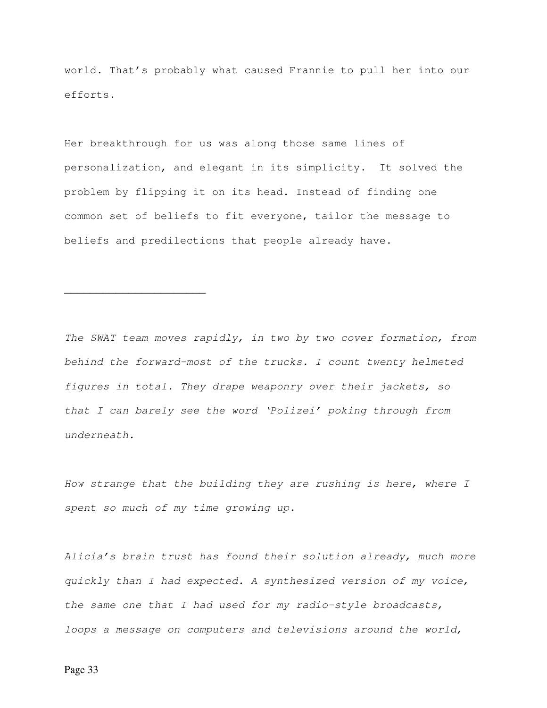world. That's probably what caused Frannie to pull her into our efforts.

Her breakthrough for us was along those same lines of personalization, and elegant in its simplicity. It solved the problem by flipping it on its head. Instead of finding one common set of beliefs to fit everyone, tailor the message to beliefs and predilections that people already have.

The SWAT team moves rapidly, in two by two cover formation, from behind the forward-most of the trucks. I count twenty helmeted figures in total. They drape weaponry over their jackets, so that I can barely see the word 'Polizei' poking through from underneath.

How strange that the building they are rushing is here, where I spent so much of my time growing up.

Alicia's brain trust has found their solution already, much more quickly than I had expected. A synthesized version of my voice, the same one that I had used for my radio-style broadcasts, loops a message on computers and televisions around the world,

 $\overline{\phantom{a}}$  , where  $\overline{\phantom{a}}$  , where  $\overline{\phantom{a}}$  , where  $\overline{\phantom{a}}$  , where  $\overline{\phantom{a}}$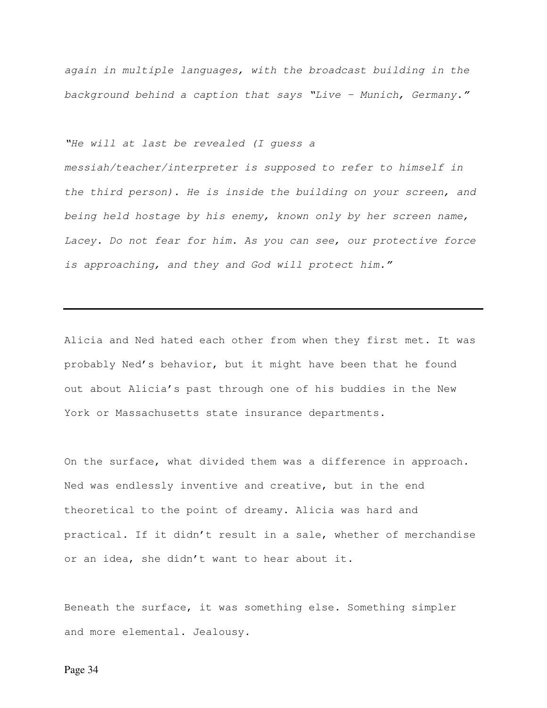again in multiple languages, with the broadcast building in the background behind a caption that says "Live – Munich, Germany."

"He will at last be revealed (I guess a

messiah/teacher/interpreter is supposed to refer to himself in the third person). He is inside the building on your screen, and being held hostage by his enemy, known only by her screen name, Lacey. Do not fear for him. As you can see, our protective force is approaching, and they and God will protect him."

Alicia and Ned hated each other from when they first met. It was probably Ned's behavior, but it might have been that he found out about Alicia's past through one of his buddies in the New York or Massachusetts state insurance departments.

On the surface, what divided them was a difference in approach. Ned was endlessly inventive and creative, but in the end theoretical to the point of dreamy. Alicia was hard and practical. If it didn't result in a sale, whether of merchandise or an idea, she didn't want to hear about it.

Beneath the surface, it was something else. Something simpler and more elemental. Jealousy.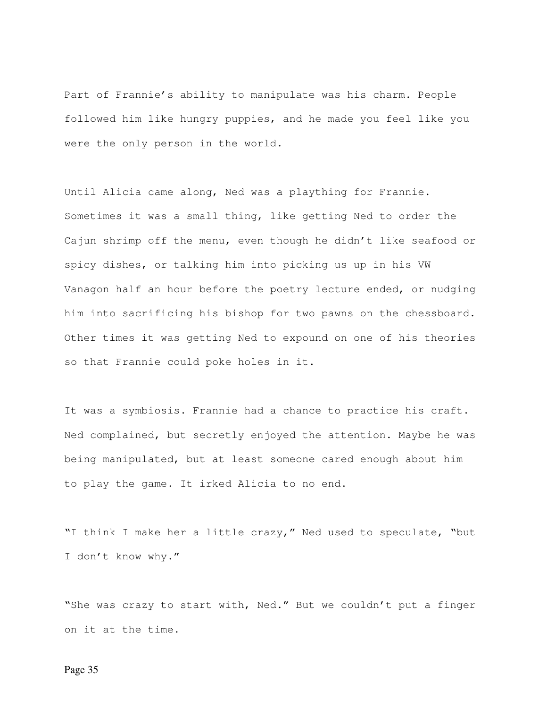Part of Frannie's ability to manipulate was his charm. People followed him like hungry puppies, and he made you feel like you were the only person in the world.

Until Alicia came along, Ned was a plaything for Frannie. Sometimes it was a small thing, like getting Ned to order the Cajun shrimp off the menu, even though he didn't like seafood or spicy dishes, or talking him into picking us up in his VW Vanagon half an hour before the poetry lecture ended, or nudging him into sacrificing his bishop for two pawns on the chessboard. Other times it was getting Ned to expound on one of his theories so that Frannie could poke holes in it.

It was a symbiosis. Frannie had a chance to practice his craft. Ned complained, but secretly enjoyed the attention. Maybe he was being manipulated, but at least someone cared enough about him to play the game. It irked Alicia to no end.

"I think I make her a little crazy," Ned used to speculate, "but I don't know why."

"She was crazy to start with, Ned." But we couldn't put a finger on it at the time.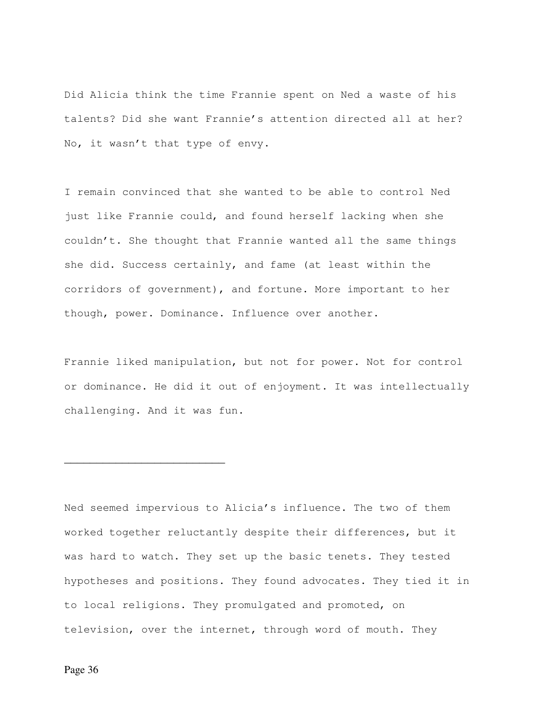Did Alicia think the time Frannie spent on Ned a waste of his talents? Did she want Frannie's attention directed all at her? No, it wasn't that type of envy.

I remain convinced that she wanted to be able to control Ned just like Frannie could, and found herself lacking when she couldn't. She thought that Frannie wanted all the same things she did. Success certainly, and fame (at least within the corridors of government), and fortune. More important to her though, power. Dominance. Influence over another.

Frannie liked manipulation, but not for power. Not for control or dominance. He did it out of enjoyment. It was intellectually challenging. And it was fun.

Ned seemed impervious to Alicia's influence. The two of them worked together reluctantly despite their differences, but it was hard to watch. They set up the basic tenets. They tested hypotheses and positions. They found advocates. They tied it in to local religions. They promulgated and promoted, on television, over the internet, through word of mouth. They

\_\_\_\_\_\_\_\_\_\_\_\_\_\_\_\_\_\_\_\_\_\_\_\_\_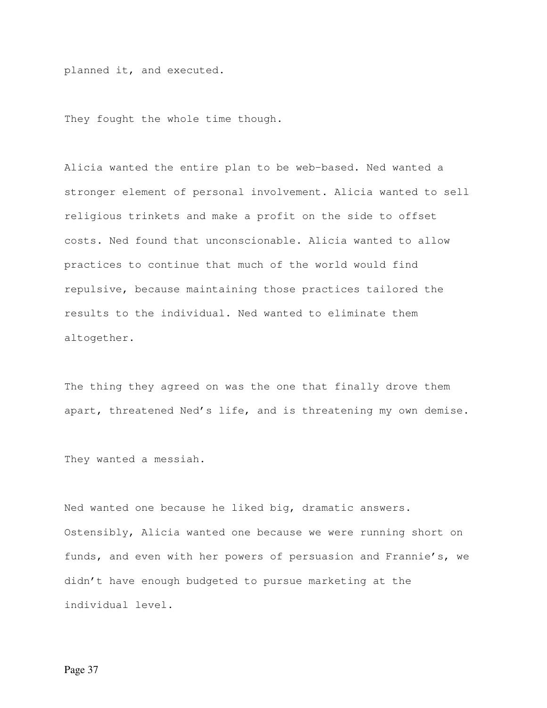planned it, and executed.

They fought the whole time though.

Alicia wanted the entire plan to be web-based. Ned wanted a stronger element of personal involvement. Alicia wanted to sell religious trinkets and make a profit on the side to offset costs. Ned found that unconscionable. Alicia wanted to allow practices to continue that much of the world would find repulsive, because maintaining those practices tailored the results to the individual. Ned wanted to eliminate them altogether.

The thing they agreed on was the one that finally drove them apart, threatened Ned's life, and is threatening my own demise.

They wanted a messiah.

Ned wanted one because he liked big, dramatic answers. Ostensibly, Alicia wanted one because we were running short on funds, and even with her powers of persuasion and Frannie's, we didn't have enough budgeted to pursue marketing at the individual level.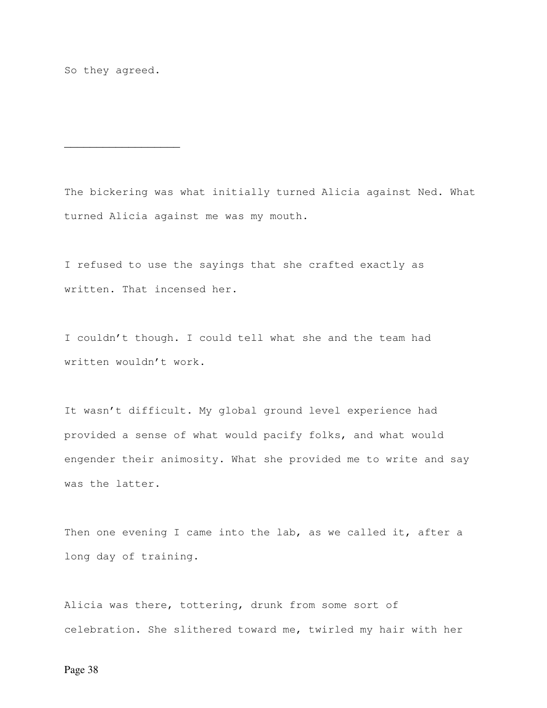So they agreed.

\_\_\_\_\_\_\_\_\_\_\_\_\_\_\_\_\_\_

The bickering was what initially turned Alicia against Ned. What turned Alicia against me was my mouth.

I refused to use the sayings that she crafted exactly as written. That incensed her.

I couldn't though. I could tell what she and the team had written wouldn't work.

It wasn't difficult. My global ground level experience had provided a sense of what would pacify folks, and what would engender their animosity. What she provided me to write and say was the latter.

Then one evening I came into the lab, as we called it, after a long day of training.

Alicia was there, tottering, drunk from some sort of celebration. She slithered toward me, twirled my hair with her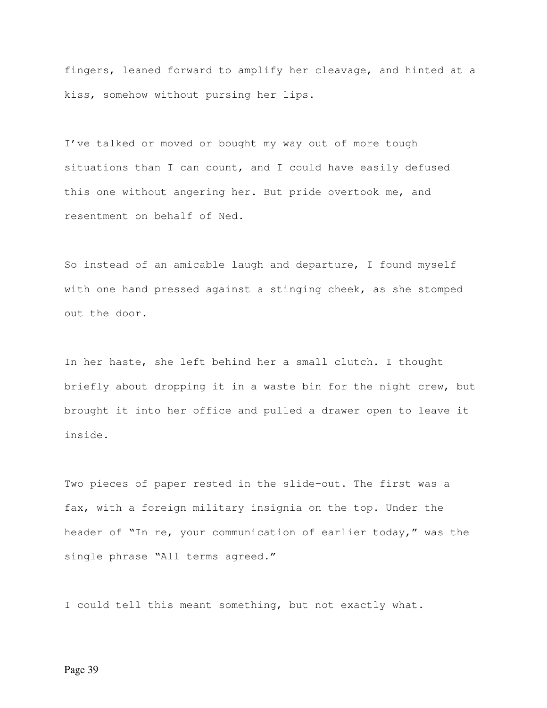fingers, leaned forward to amplify her cleavage, and hinted at a kiss, somehow without pursing her lips.

I've talked or moved or bought my way out of more tough situations than I can count, and I could have easily defused this one without angering her. But pride overtook me, and resentment on behalf of Ned.

So instead of an amicable laugh and departure, I found myself with one hand pressed against a stinging cheek, as she stomped out the door.

In her haste, she left behind her a small clutch. I thought briefly about dropping it in a waste bin for the night crew, but brought it into her office and pulled a drawer open to leave it inside.

Two pieces of paper rested in the slide-out. The first was a fax, with a foreign military insignia on the top. Under the header of "In re, your communication of earlier today," was the single phrase "All terms agreed."

I could tell this meant something, but not exactly what.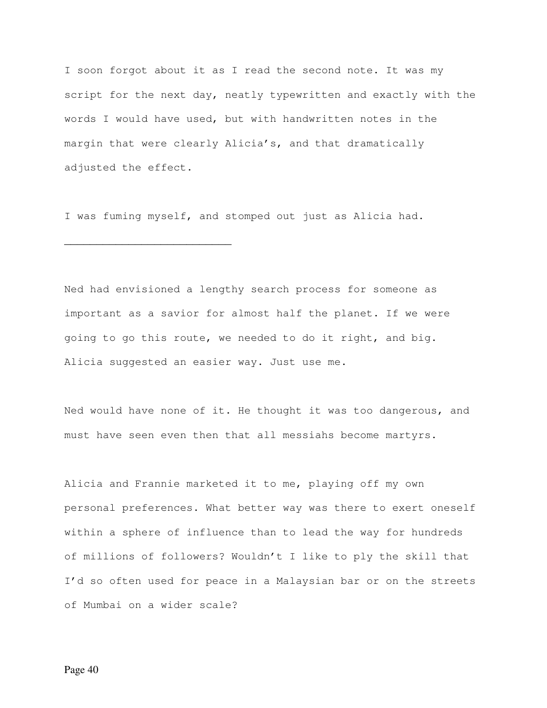I soon forgot about it as I read the second note. It was my script for the next day, neatly typewritten and exactly with the words I would have used, but with handwritten notes in the margin that were clearly Alicia's, and that dramatically adjusted the effect.

I was fuming myself, and stomped out just as Alicia had.

\_\_\_\_\_\_\_\_\_\_\_\_\_\_\_\_\_\_\_\_\_\_\_\_\_\_

Ned had envisioned a lengthy search process for someone as important as a savior for almost half the planet. If we were going to go this route, we needed to do it right, and big. Alicia suggested an easier way. Just use me.

Ned would have none of it. He thought it was too dangerous, and must have seen even then that all messiahs become martyrs.

Alicia and Frannie marketed it to me, playing off my own personal preferences. What better way was there to exert oneself within a sphere of influence than to lead the way for hundreds of millions of followers? Wouldn't I like to ply the skill that I'd so often used for peace in a Malaysian bar or on the streets of Mumbai on a wider scale?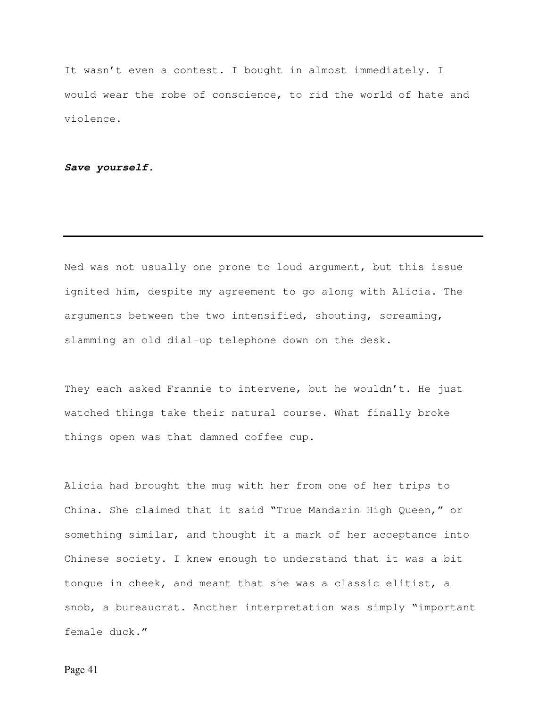It wasn't even a contest. I bought in almost immediately. I would wear the robe of conscience, to rid the world of hate and violence.

**Save yourself.** 

Ned was not usually one prone to loud argument, but this issue ignited him, despite my agreement to go along with Alicia. The arguments between the two intensified, shouting, screaming, slamming an old dial-up telephone down on the desk.

They each asked Frannie to intervene, but he wouldn't. He just watched things take their natural course. What finally broke things open was that damned coffee cup.

Alicia had brought the mug with her from one of her trips to China. She claimed that it said "True Mandarin High Queen," or something similar, and thought it a mark of her acceptance into Chinese society. I knew enough to understand that it was a bit tongue in cheek, and meant that she was a classic elitist, a snob, a bureaucrat. Another interpretation was simply "important female duck."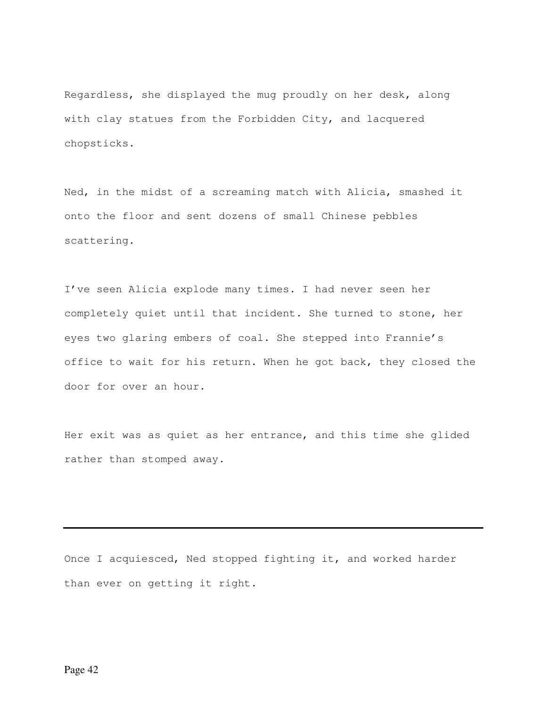Regardless, she displayed the mug proudly on her desk, along with clay statues from the Forbidden City, and lacquered chopsticks.

Ned, in the midst of a screaming match with Alicia, smashed it onto the floor and sent dozens of small Chinese pebbles scattering.

I've seen Alicia explode many times. I had never seen her completely quiet until that incident. She turned to stone, her eyes two glaring embers of coal. She stepped into Frannie's office to wait for his return. When he got back, they closed the door for over an hour.

Her exit was as quiet as her entrance, and this time she glided rather than stomped away.

Once I acquiesced, Ned stopped fighting it, and worked harder than ever on getting it right.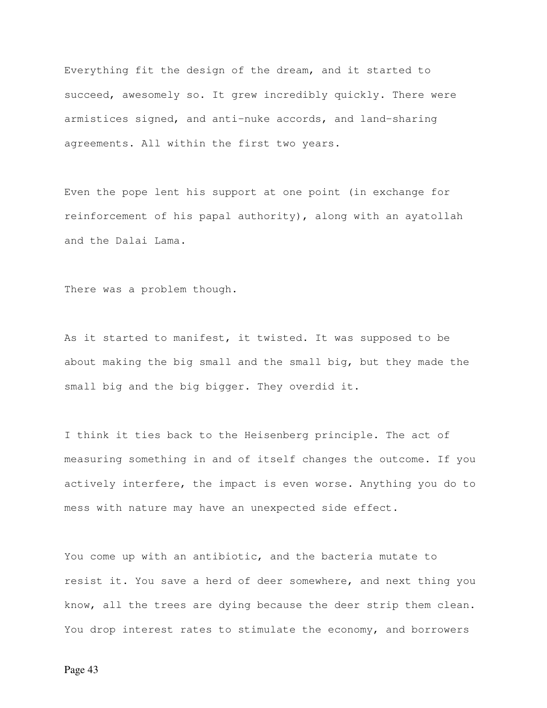Everything fit the design of the dream, and it started to succeed, awesomely so. It grew incredibly quickly. There were armistices signed, and anti-nuke accords, and land-sharing agreements. All within the first two years.

Even the pope lent his support at one point (in exchange for reinforcement of his papal authority), along with an ayatollah and the Dalai Lama.

There was a problem though.

As it started to manifest, it twisted. It was supposed to be about making the big small and the small big, but they made the small big and the big bigger. They overdid it.

I think it ties back to the Heisenberg principle. The act of measuring something in and of itself changes the outcome. If you actively interfere, the impact is even worse. Anything you do to mess with nature may have an unexpected side effect.

You come up with an antibiotic, and the bacteria mutate to resist it. You save a herd of deer somewhere, and next thing you know, all the trees are dying because the deer strip them clean. You drop interest rates to stimulate the economy, and borrowers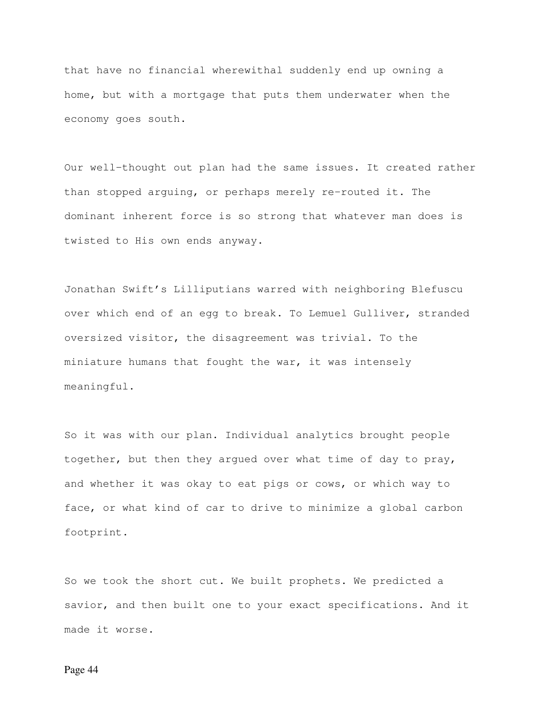that have no financial wherewithal suddenly end up owning a home, but with a mortgage that puts them underwater when the economy goes south.

Our well-thought out plan had the same issues. It created rather than stopped arguing, or perhaps merely re-routed it. The dominant inherent force is so strong that whatever man does is twisted to His own ends anyway.

Jonathan Swift's Lilliputians warred with neighboring Blefuscu over which end of an egg to break. To Lemuel Gulliver, stranded oversized visitor, the disagreement was trivial. To the miniature humans that fought the war, it was intensely meaningful.

So it was with our plan. Individual analytics brought people together, but then they argued over what time of day to pray, and whether it was okay to eat pigs or cows, or which way to face, or what kind of car to drive to minimize a global carbon footprint.

So we took the short cut. We built prophets. We predicted a savior, and then built one to your exact specifications. And it made it worse.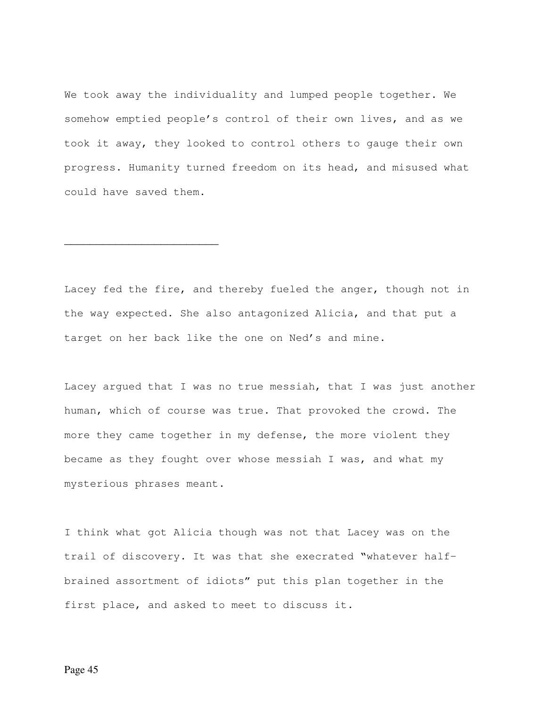We took away the individuality and lumped people together. We somehow emptied people's control of their own lives, and as we took it away, they looked to control others to gauge their own progress. Humanity turned freedom on its head, and misused what could have saved them.

Lacey fed the fire, and thereby fueled the anger, though not in the way expected. She also antagonized Alicia, and that put a target on her back like the one on Ned's and mine.

\_\_\_\_\_\_\_\_\_\_\_\_\_\_\_\_\_\_\_\_\_\_\_\_

Lacey argued that I was no true messiah, that I was just another human, which of course was true. That provoked the crowd. The more they came together in my defense, the more violent they became as they fought over whose messiah I was, and what my mysterious phrases meant.

I think what got Alicia though was not that Lacey was on the trail of discovery. It was that she execrated "whatever halfbrained assortment of idiots" put this plan together in the first place, and asked to meet to discuss it.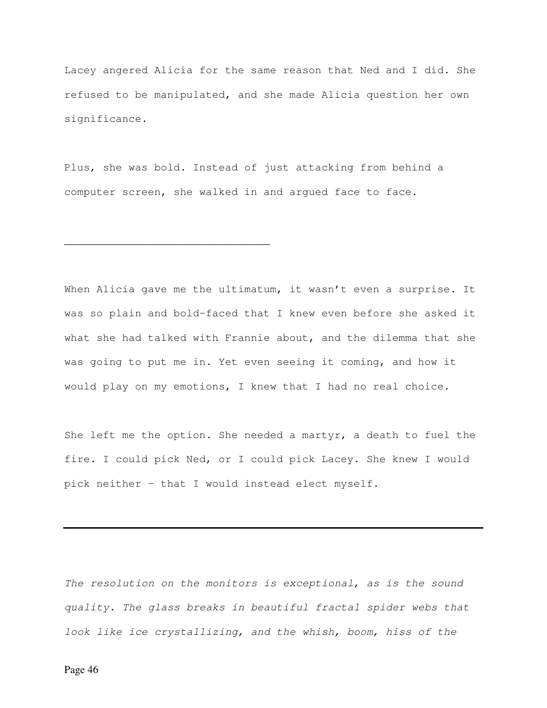Lacey angered Alicia for the same reason that Ned and I did. She refused to be manipulated, and she made Alicia question her own significance.

Plus, she was bold. Instead of just attacking from behind a computer screen, she walked in and argued face to face.

\_\_\_\_\_\_\_\_\_\_\_\_\_\_\_\_\_\_\_\_\_\_\_\_\_\_\_\_\_\_\_\_

When Alicia gave me the ultimatum, it wasn't even a surprise. It was so plain and bold-faced that I knew even before she asked it what she had talked with Frannie about, and the dilemma that she was going to put me in. Yet even seeing it coming, and how it would play on my emotions, I knew that I had no real choice.

She left me the option. She needed a martyr, a death to fuel the fire. I could pick Ned, or I could pick Lacey. She knew I would pick neither – that I would instead elect myself.

The resolution on the monitors is exceptional, as is the sound quality. The glass breaks in beautiful fractal spider webs that look like ice crystallizing, and the whish, boom, hiss of the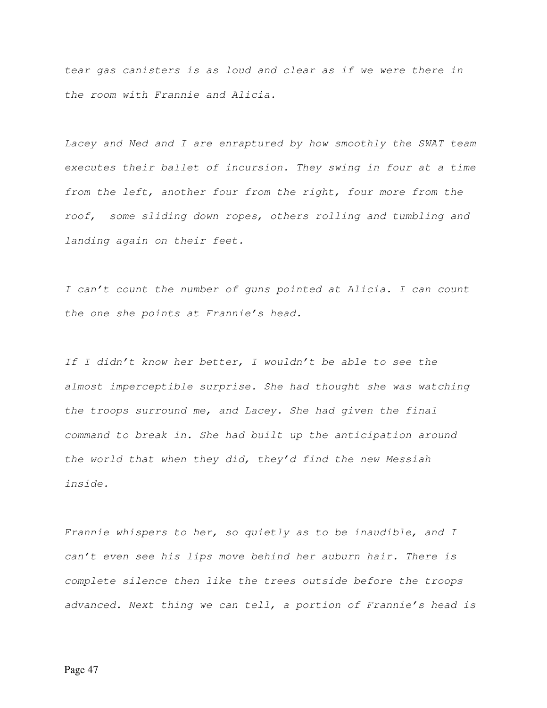tear gas canisters is as loud and clear as if we were there in the room with Frannie and Alicia.

Lacey and Ned and I are enraptured by how smoothly the SWAT team executes their ballet of incursion. They swing in four at a time from the left, another four from the right, four more from the roof, some sliding down ropes, others rolling and tumbling and landing again on their feet.

I can't count the number of guns pointed at Alicia. I can count the one she points at Frannie's head.

If I didn't know her better, I wouldn't be able to see the almost imperceptible surprise. She had thought she was watching the troops surround me, and Lacey. She had given the final command to break in. She had built up the anticipation around the world that when they did, they'd find the new Messiah inside.

Frannie whispers to her, so quietly as to be inaudible, and I can't even see his lips move behind her auburn hair. There is complete silence then like the trees outside before the troops advanced. Next thing we can tell, a portion of Frannie's head is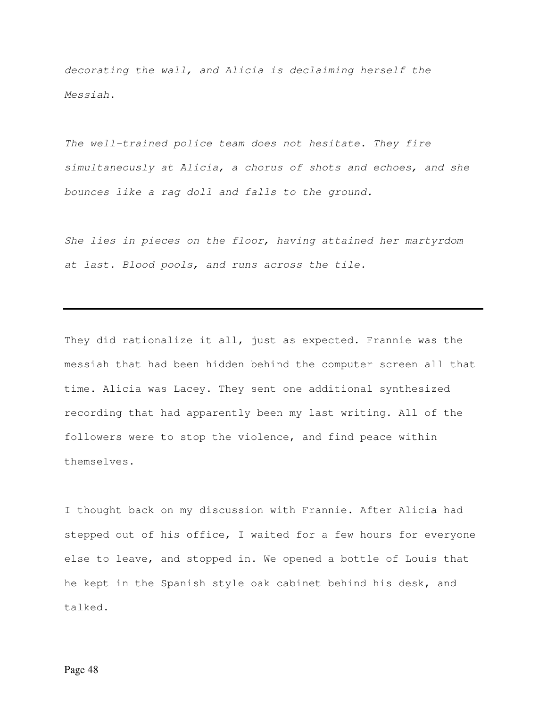decorating the wall, and Alicia is declaiming herself the Messiah.

The well-trained police team does not hesitate. They fire simultaneously at Alicia, a chorus of shots and echoes, and she bounces like a rag doll and falls to the ground.

She lies in pieces on the floor, having attained her martyrdom at last. Blood pools, and runs across the tile.

They did rationalize it all, just as expected. Frannie was the messiah that had been hidden behind the computer screen all that time. Alicia was Lacey. They sent one additional synthesized recording that had apparently been my last writing. All of the followers were to stop the violence, and find peace within themselves.

I thought back on my discussion with Frannie. After Alicia had stepped out of his office, I waited for a few hours for everyone else to leave, and stopped in. We opened a bottle of Louis that he kept in the Spanish style oak cabinet behind his desk, and talked.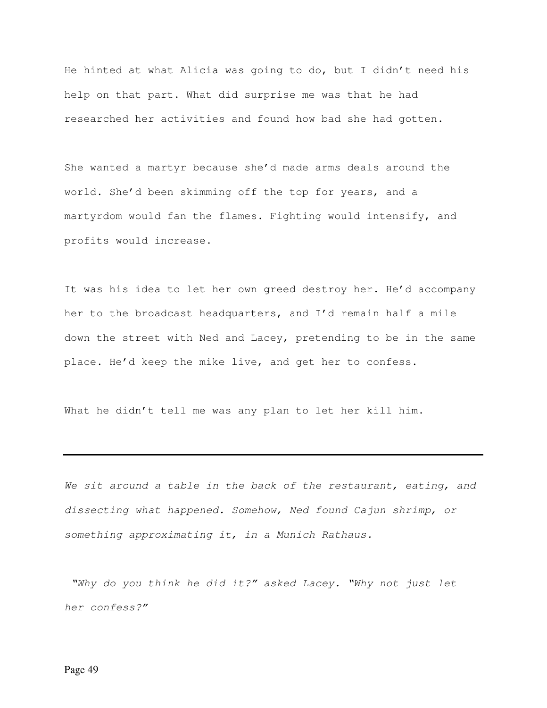He hinted at what Alicia was going to do, but I didn't need his help on that part. What did surprise me was that he had researched her activities and found how bad she had gotten.

She wanted a martyr because she'd made arms deals around the world. She'd been skimming off the top for years, and a martyrdom would fan the flames. Fighting would intensify, and profits would increase.

It was his idea to let her own greed destroy her. He'd accompany her to the broadcast headquarters, and I'd remain half a mile down the street with Ned and Lacey, pretending to be in the same place. He'd keep the mike live, and get her to confess.

What he didn't tell me was any plan to let her kill him.

We sit around a table in the back of the restaurant, eating, and dissecting what happened. Somehow, Ned found Cajun shrimp, or something approximating it, in a Munich Rathaus.

 "Why do you think he did it?" asked Lacey. "Why not just let her confess?"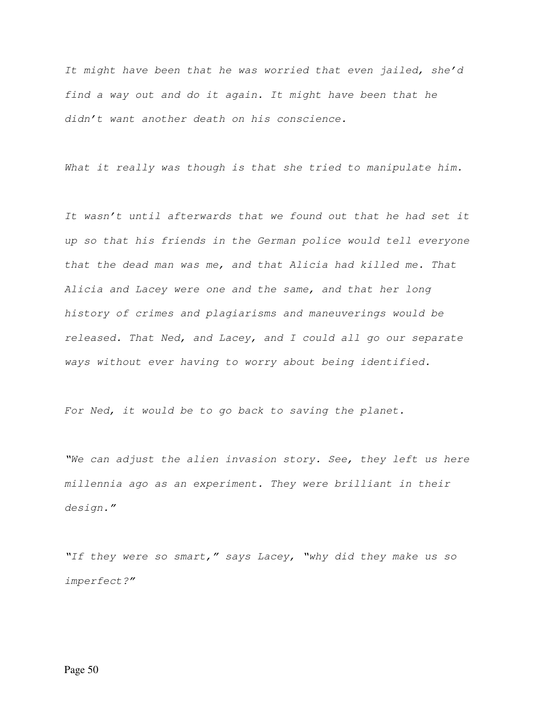It might have been that he was worried that even jailed, she'd find a way out and do it again. It might have been that he didn't want another death on his conscience.

What it really was though is that she tried to manipulate him.

It wasn't until afterwards that we found out that he had set it up so that his friends in the German police would tell everyone that the dead man was me, and that Alicia had killed me. That Alicia and Lacey were one and the same, and that her long history of crimes and plagiarisms and maneuverings would be released. That Ned, and Lacey, and I could all go our separate ways without ever having to worry about being identified.

For Ned, it would be to go back to saving the planet.

"We can adjust the alien invasion story. See, they left us here millennia ago as an experiment. They were brilliant in their design."

"If they were so smart," says Lacey, "why did they make us so imperfect?"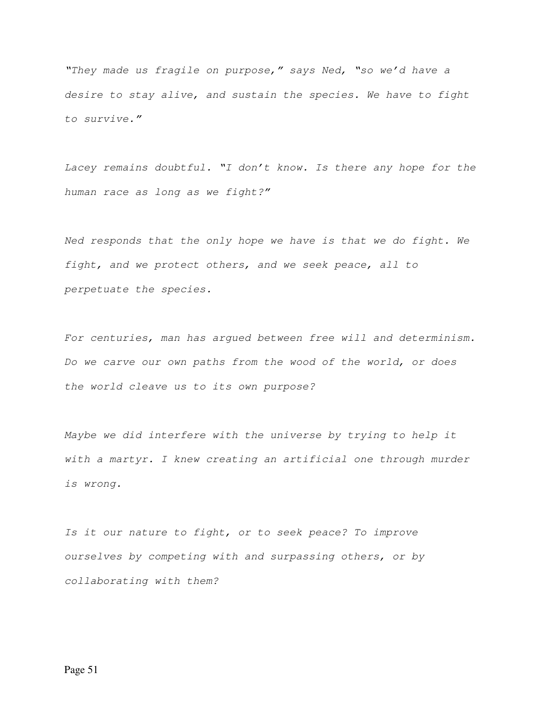"They made us fragile on purpose," says Ned, "so we'd have a desire to stay alive, and sustain the species. We have to fight to survive."

Lacey remains doubtful. "I don't know. Is there any hope for the human race as long as we fight?"

Ned responds that the only hope we have is that we do fight. We fight, and we protect others, and we seek peace, all to perpetuate the species.

For centuries, man has argued between free will and determinism. Do we carve our own paths from the wood of the world, or does the world cleave us to its own purpose?

Maybe we did interfere with the universe by trying to help it with a martyr. I knew creating an artificial one through murder is wrong.

Is it our nature to fight, or to seek peace? To improve ourselves by competing with and surpassing others, or by collaborating with them?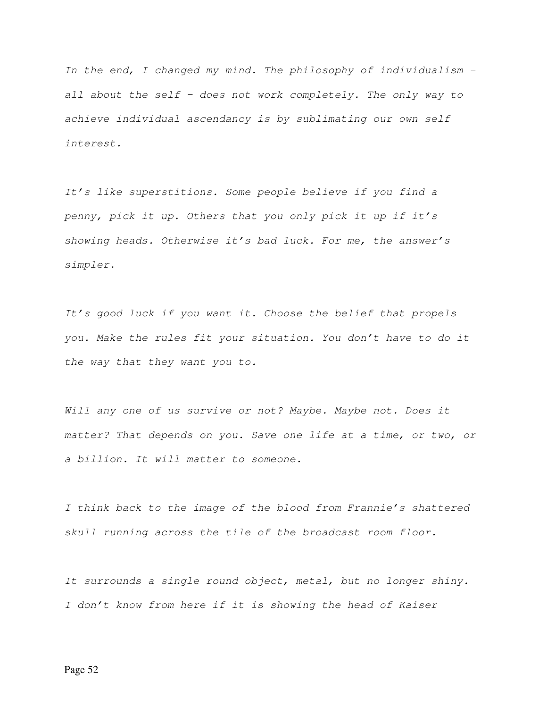In the end, I changed my mind. The philosophy of individualism – all about the self – does not work completely. The only way to achieve individual ascendancy is by sublimating our own self interest.

It's like superstitions. Some people believe if you find a penny, pick it up. Others that you only pick it up if it's showing heads. Otherwise it's bad luck. For me, the answer's simpler.

It's good luck if you want it. Choose the belief that propels you. Make the rules fit your situation. You don't have to do it the way that they want you to.

Will any one of us survive or not? Maybe. Maybe not. Does it matter? That depends on you. Save one life at a time, or two, or a billion. It will matter to someone.

I think back to the image of the blood from Frannie's shattered skull running across the tile of the broadcast room floor.

It surrounds a single round object, metal, but no longer shiny. I don't know from here if it is showing the head of Kaiser